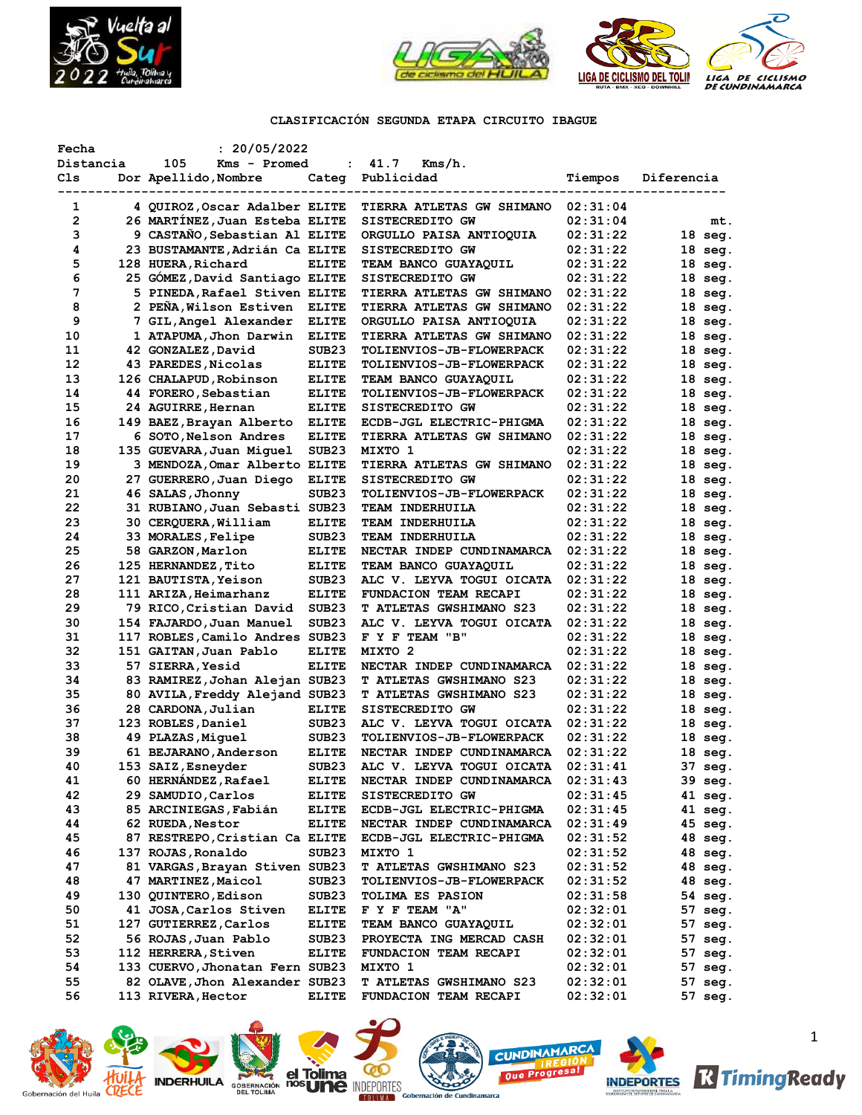



# **CLASIFICACIÓN SEGUNDA ETAPA CIRCUITO IBAGUE**

| Fecha          | : 20/05/2022                    |                   |                                                   |          |                   |
|----------------|---------------------------------|-------------------|---------------------------------------------------|----------|-------------------|
| Distancia      | 105<br>Kms - Promed             | $\ddot{\cdot}$    | 41.7<br>Kms/h.                                    |          |                   |
| Cls            | Dor Apellido, Nombre            | Categ             | Publicidad                                        | Tiempos  | Diferencia        |
|                |                                 |                   |                                                   |          |                   |
| 1              | 4 QUIROZ, Oscar Adalber ELITE   |                   | <b>TIERRA ATLETAS GW SHIMANO</b>                  | 02:31:04 |                   |
| $\overline{2}$ | 26 MARTINEZ, Juan Esteba ELITE  |                   | SISTECREDITO GW                                   | 02:31:04 | mt.               |
| з              | 9 CASTANO, Sebastian Al ELITE   |                   | ORGULLO PAISA ANTIOQUIA                           | 02:31:22 | $18 \text{ seg.}$ |
| 4              | 23 BUSTAMANTE, Adrián Ca ELITE  |                   | SISTECREDITO GW                                   | 02:31:22 | $18 \text{ seg.}$ |
| 5              | 128 HUERA, Richard              | <b>ELITE</b>      | <b>TEAM BANCO GUAYAQUIL</b>                       | 02:31:22 | $18 \text{ seq.}$ |
| 6              | 25 GÓMEZ, David Santiago ELITE  |                   | SISTECREDITO GW                                   | 02:31:22 | $18$ seq.         |
| 7              | 5 PINEDA, Rafael Stiven ELITE   |                   | <b>TIERRA ATLETAS GW SHIMANO</b>                  | 02:31:22 | $18$ seg.         |
| 8              | 2 PENA,Wilson Estiven           | <b>ELITE</b>      | TIERRA ATLETAS GW SHIMANO                         | 02:31:22 | $18$ seq.         |
| 9              | 7 GIL, Angel Alexander          | <b>ELITE</b>      | ORGULLO PAISA ANTIOQUIA                           | 02:31:22 | 18 seg.           |
| 10             | 1 ATAPUMA, Jhon Darwin          | <b>ELITE</b>      | <b>TIERRA ATLETAS GW SHIMANO</b>                  | 02:31:22 | 18 seg.           |
| 11             | 42 GONZALEZ, David              | SUB <sub>23</sub> | <b>TOLIENVIOS-JB-FLOWERPACK</b>                   | 02:31:22 | 18 seg.           |
| 12             | 43 PAREDES, Nicolas             | <b>ELITE</b>      | <b>TOLIENVIOS-JB-FLOWERPACK</b>                   | 02:31:22 | $18 \text{ seg.}$ |
| 13             | 126 CHALAPUD, Robinson          | <b>ELITE</b>      | TEAM BANCO GUAYAQUIL                              | 02:31:22 | 18 seg.           |
| 14             | 44 FORERO, Sebastian            | <b>ELITE</b>      | <b>TOLIENVIOS-JB-FLOWERPACK</b>                   | 02:31:22 | 18 seg.           |
| 15             | 24 AGUIRRE, Hernan              | <b>ELITE</b>      | SISTECREDITO GW                                   | 02:31:22 | 18 seg.           |
| 16             | 149 BAEZ, Brayan Alberto        | <b>ELITE</b>      | ECDB-JGL ELECTRIC-PHIGMA                          | 02:31:22 | 18 seg.           |
| 17             | 6 SOTO, Nelson Andres           | <b>ELITE</b>      | <b>TIERRA ATLETAS GW SHIMANO</b>                  | 02:31:22 | 18 seg.           |
| 18             | 135 GUEVARA,Juan Miguel         | SUB <sub>23</sub> | MIXTO 1                                           | 02:31:22 | 18 seg.           |
| 19             | 3 MENDOZA, Omar Alberto ELITE   |                   | TIERRA ATLETAS GW SHIMANO                         | 02:31:22 | $18 \text{ seg.}$ |
| 20             | 27 GUERRERO, Juan Diego         | <b>ELITE</b>      | SISTECREDITO GW                                   | 02:31:22 | 18 seg.           |
| 21             | 46 SALAS, Jhonny                | SUB23             | TOLIENVIOS-JB-FLOWERPACK                          | 02:31:22 | 18 seg.           |
| 22             | 31 RUBIANO, Juan Sebasti SUB23  |                   | TEAM INDERHUILA                                   | 02:31:22 | $18 \text{ seg.}$ |
| 23             | 30 CERQUERA, William            | <b>ELITE</b>      | TEAM INDERHUILA                                   | 02:31:22 | 18 seg.           |
| 24             | 33 MORALES, Felipe              | SUB <sub>23</sub> | TEAM INDERHUILA                                   | 02:31:22 | 18 seg.           |
| 25             | 58 GARZON,Marlon                | <b>ELITE</b>      | NECTAR INDEP CUNDINAMARCA                         | 02:31:22 | $18 \text{ seg.}$ |
| 26             | 125 HERNANDEZ, Tito             | ELITE             | TEAM BANCO GUAYAQUIL                              | 02:31:22 | $18$ seg.         |
| 27             | 121 BAUTISTA, Yeison            | SUB <sub>23</sub> | ALC V. LEYVA TOGUI OICATA                         | 02:31:22 | $18$ seg.         |
| 28             | 111 ARIZA, Heimarhanz           | <b>ELITE</b>      | FUNDACION TEAM RECAPI                             | 02:31:22 | $18 \text{ seg.}$ |
| 29             | 79 RICO,Cristian David          | SUB <sub>23</sub> | <b>T ATLETAS GWSHIMANO S23</b>                    | 02:31:22 | 18 seg.           |
| 30             | 154 FAJARDO,Juan Manuel         | SUB <sub>23</sub> | ALC V. LEYVA TOGUI OICATA                         | 02:31:22 | 18 seg.           |
| 31             | 117 ROBLES, Camilo Andres SUB23 |                   | F Y F TEAM "B"                                    | 02:31:22 | 18 seg.           |
| 32             | 151 GAITAN,Juan Pablo           | ELITE             | MIXTO 2                                           | 02:31:22 | $18 \text{ seg.}$ |
| 33             | 57 SIERRA, Yesid                | <b>ELITE</b>      | NECTAR INDEP CUNDINAMARCA                         | 02:31:22 | 18 seg.           |
| 34             | 83 RAMIREZ, Johan Alejan SUB23  |                   | <b>T ATLETAS GWSHIMANO S23</b>                    | 02:31:22 | 18 seg.           |
| 35             | 80 AVILA, Freddy Alejand SUB23  |                   | <b>T ATLETAS GWSHIMANO S23</b>                    | 02:31:22 | $18$ seq.         |
| 36             | 28 CARDONA, Julian              | <b>ELITE</b>      | SISTECREDITO GW                                   | 02:31:22 | 18 seg.           |
| 37             | 123 ROBLES, Daniel              | SUB <sub>23</sub> | ALC V. LEYVA TOGUI OICATA                         | 02:31:22 | 18 seg.           |
| 38             | 49 PLAZAS, Miguel               | SUB23             | TOLIENVIOS-JB-FLOWERPACK                          | 02:31:22 | $18 \text{ seg.}$ |
| 39             | 61 BEJARANO, Anderson           | <b>ELITE</b>      | NECTAR INDEP CUNDINAMARCA                         | 02:31:22 | 18 seg.           |
| 40             | 153 SAIZ, Esneyder              | SUB <sub>23</sub> | ALC V. LEYVA TOGUI OICATA                         | 02:31:41 | 37 seg.           |
| 41             | 60 HERNANDEZ, Rafael            | <b>ELITE</b>      | NECTAR INDEP CUNDINAMARCA                         | 02:31:43 | 39 seg.           |
| 42             | 29 SAMUDIO, Carlos              | <b>ELITE</b>      | SISTECREDITO GW                                   | 02:31:45 | 41 seg.           |
| 43             | 85 ARCINIEGAS, Fabián           | <b>ELITE</b>      | ECDB-JGL ELECTRIC-PHIGMA                          | 02:31:45 | $41$ seg.         |
| 44             | 62 RUEDA, Nestor                | ELITE             | NECTAR INDEP CUNDINAMARCA                         | 02:31:49 | 45 seg.           |
| 45             | 87 RESTREPO, Cristian Ca ELITE  |                   | ECDB-JGL ELECTRIC-PHIGMA                          | 02:31:52 | 48 seg.           |
| 46             | 137 ROJAS, Ronaldo              | SUB23             | MIXTO 1                                           | 02:31:52 | 48 seg.           |
| 47             | 81 VARGAS, Brayan Stiven SUB23  |                   | T ATLETAS GWSHIMANO S23                           | 02:31:52 | 48 seg.           |
| 48             | 47 MARTINEZ, Maicol             | SUB23             | TOLIENVIOS-JB-FLOWERPACK                          | 02:31:52 | 48 seg.           |
| 49             | 130 QUINTERO, Edison            | SUB23             | TOLIMA ES PASION                                  | 02:31:58 | 54 seg.           |
| 50             | 41 JOSA, Carlos Stiven          |                   | F Y F TEAM "A"                                    |          | 57 seg.           |
| 51             | 127 GUTIERREZ, Carlos           | <b>ELITE</b>      | TEAM BANCO GUAYAQUIL                              | 02:32:01 |                   |
|                |                                 | <b>ELITE</b>      |                                                   | 02:32:01 | 57 seg.           |
| 52             | 56 ROJAS, Juan Pablo            | SUB23             | PROYECTA ING MERCAD CASH<br>FUNDACION TEAM RECAPI | 02:32:01 | 57 seg.           |
| 53             | 112 HERRERA, Stiven             | <b>ELITE</b>      |                                                   | 02:32:01 | 57 seg.           |
| 54             | 133 CUERVO, Jhonatan Fern SUB23 |                   | MIXTO 1                                           | 02:32:01 | 57 seg.           |
| 55             | 82 OLAVE, Jhon Alexander SUB23  |                   | T ATLETAS GWSHIMANO S23                           | 02:32:01 | 57 seg.           |
| 56             | 113 RIVERA, Hector              | ELITE             | FUNDACION TEAM RECAPI                             | 02:32:01 | 57 seg.           |















1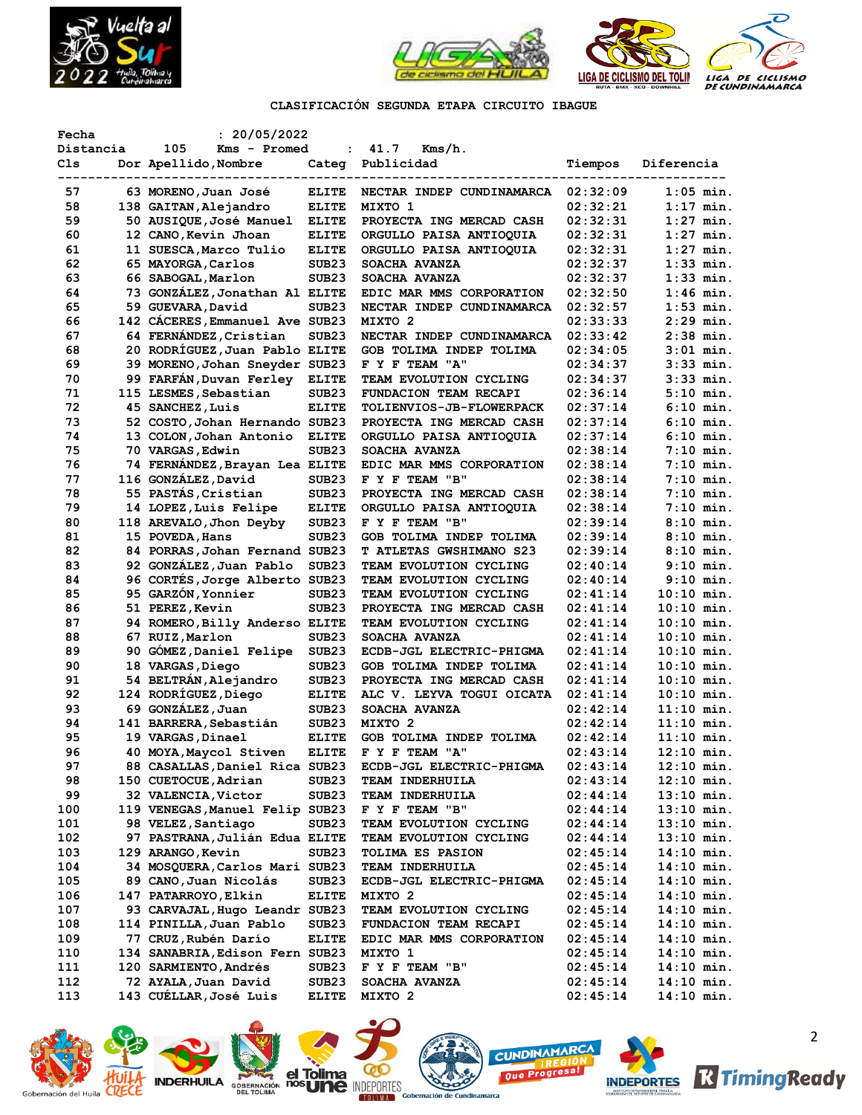



# **CLASIFICACIÓN SEGUNDA ETAPA CIRCUITO IBAGUE**

| Fecha     | : 20/05/2022                    |                   |                                |          |              |
|-----------|---------------------------------|-------------------|--------------------------------|----------|--------------|
| Distancia | 105<br>Kms - Promed             | $\ddot{\cdot}$    | 41.7<br>Kms/h.                 |          |              |
| Cls       | Dor Apellido, Nombre            | Categ             | Publicidad                     | Tiempos  | Diferencia   |
|           |                                 |                   |                                |          |              |
| 57        | 63 MORENO, Juan José            | <b>ELITE</b>      | NECTAR INDEP CUNDINAMARCA      | 02:32:09 | $1:05$ min.  |
| 58        | 138 GAITAN, Alejandro           | <b>ELITE</b>      | MIXTO 1                        | 02:32:21 | $1:17$ min.  |
| 59        | 50 AUSIQUE, José Manuel         | <b>ELITE</b>      | PROYECTA ING MERCAD CASH       | 02:32:31 | $1:27$ min.  |
| 60        | 12 CANO, Kevin Jhoan            | <b>ELITE</b>      | ORGULLO PAISA ANTIOQUIA        | 02:32:31 | $1:27$ min.  |
| 61        | 11 SUESCA, Marco Tulio          | <b>ELITE</b>      | ORGULLO PAISA ANTIOQUIA        | 02:32:31 | $1:27$ min.  |
| 62        | 65 MAYORGA, Carlos              | SUB <sub>23</sub> | SOACHA AVANZA                  | 02:32:37 | $1:33$ min.  |
| 63        | 66 SABOGAL, Marlon              | SUB <sub>23</sub> | SOACHA AVANZA                  | 02:32:37 | $1:33$ min.  |
| 64        | 73 GONZÁLEZ, Jonathan Al ELITE  |                   | EDIC MAR MMS CORPORATION       | 02:32:50 | $1:46$ min.  |
| 65        | 59 GUEVARA, David               | SUB <sub>23</sub> | NECTAR INDEP CUNDINAMARCA      | 02:32:57 | $1:53$ min.  |
| 66        | 142 CÁCERES, Emmanuel Ave SUB23 |                   | MIXTO 2                        | 02:33:33 | $2:29$ min.  |
| 67        | 64 FERNÁNDEZ, Cristian          | SUB <sub>23</sub> | NECTAR INDEP CUNDINAMARCA      | 02:33:42 | $2:38$ min.  |
| 68        | 20 RODRÍGUEZ, Juan Pablo ELITE  |                   | GOB TOLIMA INDEP TOLIMA        | 02:34:05 | $3:01$ min.  |
|           | 39 MORENO, Johan Sneyder SUB23  |                   |                                |          | $3:33$ min.  |
| 69        |                                 |                   | F Y F TEAM "A"                 | 02:34:37 |              |
| 70        | 99 FARFÁN, Duvan Ferley         | <b>ELITE</b>      | TEAM EVOLUTION CYCLING         | 02:34:37 | $3:33$ min.  |
| 71        | 115 LESMES, Sebastian           | SUB <sub>23</sub> | FUNDACION TEAM RECAPI          | 02:36:14 | $5:10$ min.  |
| 72        | 45 SANCHEZ, Luis                | <b>ELITE</b>      | TOLIENVIOS-JB-FLOWERPACK       | 02:37:14 | $6:10$ min.  |
| 73        | 52 COSTO, Johan Hernando SUB23  |                   | PROYECTA ING MERCAD CASH       | 02:37:14 | $6:10$ min.  |
| 74        | 13 COLON, Johan Antonio         | <b>ELITE</b>      | ORGULLO PAISA ANTIOQUIA        | 02:37:14 | $6:10$ min.  |
| 75        | 70 VARGAS, Edwin                | SUB <sub>23</sub> | SOACHA AVANZA                  | 02:38:14 | $7:10$ min.  |
| 76        | 74 FERNANDEZ, Brayan Lea ELITE  |                   | EDIC MAR MMS CORPORATION       | 02:38:14 | $7:10$ min.  |
| 77        | 116 GONZALEZ, David             | SUB <sub>23</sub> | F Y F TEAM "B"                 | 02:38:14 | $7:10$ min.  |
| 78        | 55 PASTÁS, Cristian             | SUB <sub>23</sub> | PROYECTA ING MERCAD CASH       | 02:38:14 | $7:10$ min.  |
| 79        | 14 LOPEZ, Luis Felipe           | <b>ELITE</b>      | ORGULLO PAISA ANTIOOUIA        | 02:38:14 | $7:10$ min.  |
| 80        | 118 AREVALO, Jhon Deyby         | SUB <sub>23</sub> | F Y F TEAM "B"                 | 02:39:14 | $8:10$ min.  |
| 81        | 15 POVEDA, Hans                 | SUB <sub>23</sub> | GOB TOLIMA INDEP TOLIMA        | 02:39:14 | $8:10$ min.  |
| 82        | 84 PORRAS, Johan Fernand SUB23  |                   | <b>T ATLETAS GWSHIMANO S23</b> | 02:39:14 | $8:10$ min.  |
| 83        | 92 GONZÁLEZ, Juan Pablo         | SUB <sub>23</sub> | TEAM EVOLUTION CYCLING         | 02:40:14 | $9:10$ min.  |
| 84        | 96 CORTÉS, Jorge Alberto SUB23  |                   | TEAM EVOLUTION CYCLING         | 02:40:14 | $9:10$ min.  |
| 85        | 95 GARZÓN, Yonnier              | SUB <sub>23</sub> | TEAM EVOLUTION CYCLING         | 02:41:14 | $10:10$ min. |
| 86        | 51 PEREZ, Kevin                 | SUB <sub>23</sub> | PROYECTA ING MERCAD CASH       | 02:41:14 | $10:10$ min. |
| 87        | 94 ROMERO, Billy Anderso ELITE  |                   | TEAM EVOLUTION CYCLING         | 02:41:14 | 10:10 min.   |
| 88        | 67 RUIZ, Marlon                 | SUB <sub>23</sub> | SOACHA AVANZA                  | 02:41:14 | 10:10 min.   |
| 89        | 90 GÓMEZ, Daniel Felipe         | SUB <sub>23</sub> | ECDB-JGL ELECTRIC-PHIGMA       | 02:41:14 | $10:10$ min. |
| 90        | 18 VARGAS, Diego                | SUB <sub>23</sub> | GOB TOLIMA INDEP TOLIMA        | 02:41:14 | $10:10$ min. |
| 91        | 54 BELTRÁN, Alejandro           | SUB <sub>23</sub> | PROYECTA ING MERCAD CASH       | 02:41:14 | $10:10$ min. |
| 92        | 124 RODRÍGUEZ, Diego            | <b>ELITE</b>      | ALC V. LEYVA TOGUI OICATA      | 02:41:14 | $10:10$ min. |
| 93        | 69 GONZÁLEZ, Juan               | SUB <sub>23</sub> | SOACHA AVANZA                  | 02:42:14 | $11:10$ min. |
| 94        | 141 BARRERA, Sebastián          | SUB <sub>23</sub> | MIXTO <sub>2</sub>             | 02:42:14 | $11:10$ min. |
| 95        | 19 VARGAS, Dinael               | <b>ELITE</b>      | GOB TOLIMA INDEP TOLIMA        | 02:42:14 | $11:10$ min. |
| 96        | 40 MOYA, Maycol Stiven          | <b>ELITE</b>      | F Y F TEAM "A"                 | 02:43:14 | $12:10$ min. |
| 97        | 88 CASALLAS, Daniel Rica SUB23  |                   |                                | 02:43:14 |              |
|           |                                 |                   | ECDB-JGL ELECTRIC-PHIGMA       |          | 12:10 min.   |
| 98        | 150 CUETOCUE, Adrian            | SUB <sub>23</sub> | TEAM INDERHUILA                | 02:43:14 | 12:10 min.   |
| 99        | 32 VALENCIA, Victor             | SUB <sub>23</sub> | TEAM INDERHUILA                | 02:44:14 | $13:10$ min. |
| 100       | 119 VENEGAS, Manuel Felip SUB23 |                   | F Y F TEAM "B"                 | 02:44:14 | $13:10$ min. |
| 101       | 98 VELEZ, Santiago              | SUB <sub>23</sub> | TEAM EVOLUTION CYCLING         | 02:44:14 | $13:10$ min. |
| 102       | 97 PASTRANA, Julián Edua ELITE  |                   | TEAM EVOLUTION CYCLING         | 02:44:14 | 13:10 min.   |
| 103       | 129 ARANGO, Kevin               | SUB <sub>23</sub> | TOLIMA ES PASION               | 02:45:14 | 14:10 min.   |
| 104       | 34 MOSQUERA, Carlos Mari SUB23  |                   | TEAM INDERHUILA                | 02:45:14 | 14:10 min.   |
| 105       | 89 CANO, Juan Nicolás           | SUB <sub>23</sub> | ECDB-JGL ELECTRIC-PHIGMA       | 02:45:14 | $14:10$ min. |
| 106       | 147 PATARROYO, Elkin            | <b>ELITE</b>      | MIXTO 2                        | 02:45:14 | $14:10$ min. |
| 107       | 93 CARVAJAL, Hugo Leandr SUB23  |                   | TEAM EVOLUTION CYCLING         | 02:45:14 | 14:10 min.   |
| 108       | 114 PINILLA, Juan Pablo         | SUB <sub>23</sub> | FUNDACION TEAM RECAPI          | 02:45:14 | 14:10 min.   |
| 109       | 77 CRUZ, Rubén Darío            | <b>ELITE</b>      | EDIC MAR MMS CORPORATION       | 02:45:14 | 14:10 min.   |
| 110       | 134 SANABRIA, Edison Fern SUB23 |                   | MIXTO 1                        | 02:45:14 | 14:10 min.   |
| 111       | 120 SARMIENTO, Andrés           | SUB <sub>23</sub> | F Y F TEAM "B"                 | 02:45:14 | 14:10 min.   |
| 112       | 72 AYALA, Juan David            | SUB <sub>23</sub> | SOACHA AVANZA                  | 02:45:14 | 14:10 min.   |
| 113       | 143 CUÉLLAR, José Luis          | <b>ELITE</b>      | MIXTO 2                        | 02:45:14 | $14:10$ min. |















2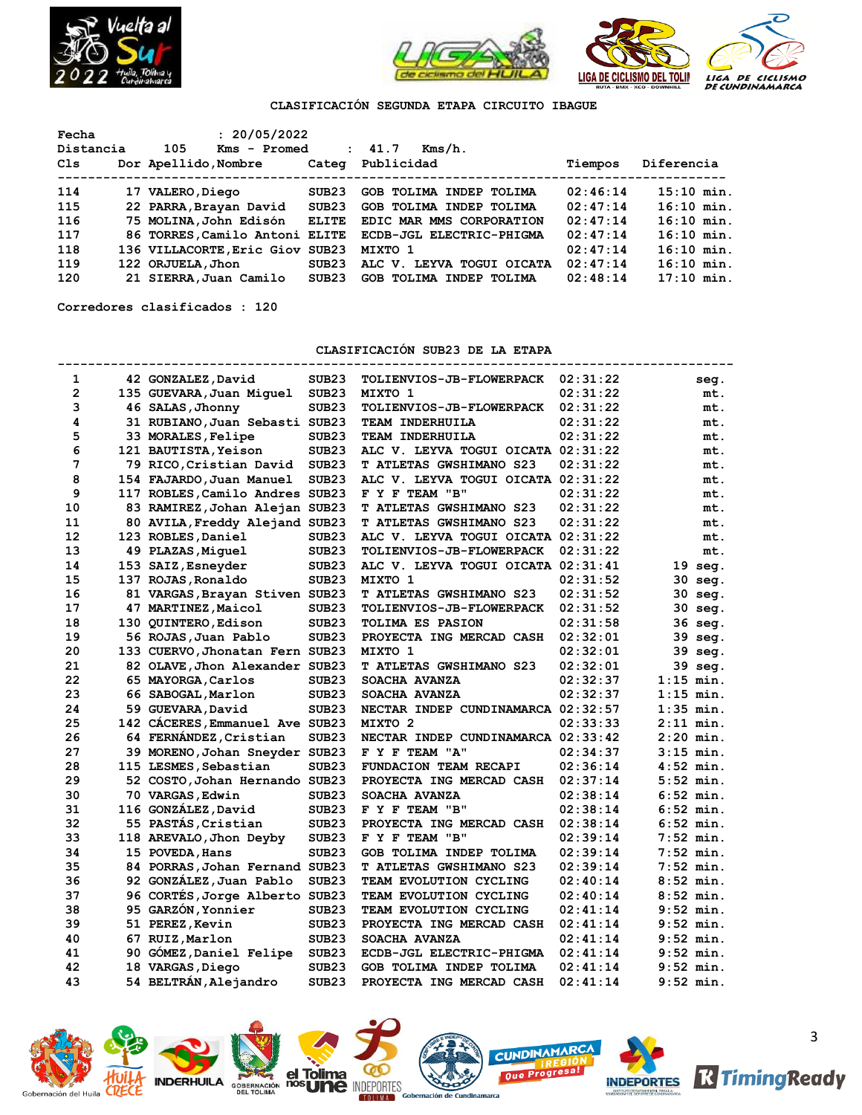



# **CLASIFICACIÓN SEGUNDA ETAPA CIRCUITO IBAGUE**

| Fecha     | : 20/05/2022                    |              |                           |          |              |
|-----------|---------------------------------|--------------|---------------------------|----------|--------------|
| Distancia | 105<br>Kms - Promed             |              | : 41.7<br>Kms/h.          |          |              |
| Cls       | Dor Apellido, Nombre            | Categ        | Publicidad                | Tiempos  | Diferencia   |
|           |                                 |              |                           |          |              |
| 114       | 17 VALERO, Diego                | SUB23        | GOB TOLIMA INDEP TOLIMA   | 02:46:14 | $15:10$ min. |
| 115       | 22 PARRA, Brayan David          | SUB23        | GOB TOLIMA INDEP TOLIMA   | 02:47:14 | $16:10$ min. |
| 116       | 75 MOLINA, John Edisón          | <b>ELITE</b> | EDIC MAR MMS CORPORATION  | 02:47:14 | $16:10$ min. |
| 117       | 86 TORRES, Camilo Antoni ELITE  |              | ECDB-JGL ELECTRIC-PHIGMA  | 02:47:14 | $16:10$ min. |
| 118       | 136 VILLACORTE, Eric Giov SUB23 |              | MIXTO 1                   | 02:47:14 | $16:10$ min. |
| 119       | 122 ORJUELA, Jhon               | SUB23        | ALC V. LEYVA TOGUI OICATA | 02:47:14 | $16:10$ min. |
| 120       | 21 SIERRA, Juan Camilo          | SUB23        | GOB TOLIMA INDEP TOLIMA   | 02:48:14 | $17:10$ min. |

**Corredores clasificados : 120**

**CLASIFICACIÓN SUB23 DE LA ETAPA**

| 1              | 42 GONZALEZ, David              | SUB <sub>23</sub> | <b>TOLIENVIOS-JB-FLOWERPACK</b>    | 02:31:22 | seg.              |
|----------------|---------------------------------|-------------------|------------------------------------|----------|-------------------|
| $\overline{2}$ | 135 GUEVARA, Juan Miguel        | SUB <sub>23</sub> | MIXTO 1                            | 02:31:22 | mt.               |
| 3              | 46 SALAS, Jhonny                | SUB <sub>23</sub> | TOLIENVIOS-JB-FLOWERPACK           | 02:31:22 | mt.               |
| 4              | 31 RUBIANO, Juan Sebasti SUB23  |                   | <b>TEAM INDERHUILA</b>             | 02:31:22 | mt.               |
| 5              | 33 MORALES, Felipe              | SUB <sub>23</sub> | <b>TEAM INDERHUILA</b>             | 02:31:22 | mt.               |
| 6              | 121 BAUTISTA, Yeison            | SUB <sub>23</sub> | ALC V. LEYVA TOGUI OICATA 02:31:22 |          | mt.               |
| 7              | 79 RICO, Cristian David         | SUB <sub>23</sub> | T ATLETAS GWSHIMANO S23            | 02:31:22 | mt.               |
| 8              | 154 FAJARDO, Juan Manuel        | SUB <sub>23</sub> | ALC V. LEYVA TOGUI OICATA 02:31:22 |          | mt.               |
| 9              | 117 ROBLES, Camilo Andres SUB23 |                   | F Y F TEAM "B"                     | 02:31:22 | mt.               |
| 10             | 83 RAMIREZ, Johan Alejan SUB23  |                   | T ATLETAS GWSHIMANO S23            | 02:31:22 | mt.               |
| 11             | 80 AVILA, Freddy Alejand SUB23  |                   | <b>T ATLETAS GWSHIMANO S23</b>     | 02:31:22 | mt.               |
| 12             | 123 ROBLES, Daniel              | SUB <sub>23</sub> | ALC V. LEYVA TOGUI OICATA          | 02:31:22 | mt.               |
| 13             | 49 PLAZAS, Miquel               | SUB <sub>23</sub> | TOLIENVIOS-JB-FLOWERPACK           | 02:31:22 | mt.               |
| 14             | 153 SAIZ, Esneyder              | SUB <sub>23</sub> | ALC V. LEYVA TOGUI OICATA 02:31:41 |          | $19 \text{ seq.}$ |
| 15             | 137 ROJAS, Ronaldo              | SUB <sub>23</sub> | MIXTO 1                            | 02:31:52 | 30 seg.           |
| 16             | 81 VARGAS, Brayan Stiven SUB23  |                   | T ATLETAS GWSHIMANO S23            | 02:31:52 | 30 seg.           |
| 17             | 47 MARTINEZ, Maicol             | SUB <sub>23</sub> | <b>TOLIENVIOS-JB-FLOWERPACK</b>    | 02:31:52 | 30 seg.           |
| 18             | 130 QUINTERO, Edison            | SUB <sub>23</sub> | <b>TOLIMA ES PASION</b>            | 02:31:58 | 36 seg.           |
| 19             | 56 ROJAS, Juan Pablo            | SUB <sub>23</sub> | PROYECTA ING MERCAD CASH           | 02:32:01 | 39 seg.           |
| 20             | 133 CUERVO, Jhonatan Fern SUB23 |                   | MIXTO 1                            | 02:32:01 | 39 seg.           |
| 21             | 82 OLAVE, Jhon Alexander SUB23  |                   | T ATLETAS GWSHIMANO S23            | 02:32:01 | 39 seg.           |
| 22             | 65 MAYORGA, Carlos              | SUB <sub>23</sub> | SOACHA AVANZA                      | 02:32:37 | $1:15$ min.       |
| 23             | 66 SABOGAL, Marlon              | SUB <sub>23</sub> | SOACHA AVANZA                      | 02:32:37 | $1:15$ min.       |
| 24             | 59 GUEVARA, David               | SUB <sub>23</sub> | NECTAR INDEP CUNDINAMARCA 02:32:57 |          | $1:35$ min.       |
| 25             | 142 CACERES, Emmanuel Ave SUB23 |                   | MIXTO <sub>2</sub>                 | 02:33:33 | $2:11$ min.       |
| 26             | 64 FERNÁNDEZ, Cristian          | SUB <sub>23</sub> | NECTAR INDEP CUNDINAMARCA 02:33:42 |          | $2:20$ min.       |
| 27             | 39 MORENO, Johan Sneyder SUB23  |                   | F Y F TEAM "A"                     | 02:34:37 | $3:15$ min.       |
| 28             | 115 LESMES, Sebastian           | SUB <sub>23</sub> | FUNDACION TEAM RECAPI              | 02:36:14 | $4:52$ min.       |
| 29             | 52 COSTO, Johan Hernando SUB23  |                   | PROYECTA ING MERCAD CASH           | 02:37:14 | $5:52$ min.       |
| 30             | 70 VARGAS, Edwin                | SUB <sub>23</sub> | SOACHA AVANZA                      | 02:38:14 | $6:52$ min.       |
| 31             | 116 GONZÁLEZ, David             | SUB <sub>23</sub> | F Y F TEAM "B"                     | 02:38:14 | $6:52$ min.       |
| 32             | 55 PASTAS, Cristian             | SUB <sub>23</sub> | PROYECTA ING MERCAD CASH           | 02:38:14 | $6:52$ min.       |
| 33             | 118 AREVALO, Jhon Deyby         | SUB <sub>23</sub> | F Y F TEAM "B"                     | 02:39:14 | $7:52$ min.       |
| 34             | 15 POVEDA, Hans                 | SUB <sub>23</sub> | GOB TOLIMA INDEP TOLIMA            | 02:39:14 | 7:52 min.         |
| 35             | 84 PORRAS, Johan Fernand SUB23  |                   | <b>T ATLETAS GWSHIMANO S23</b>     | 02:39:14 | $7:52$ min.       |
| 36             | 92 GONZÁLEZ, Juan Pablo         | SUB <sub>23</sub> | TEAM EVOLUTION CYCLING             | 02:40:14 | $8:52$ min.       |
| 37             | 96 CORTÉS, Jorge Alberto SUB23  |                   | <b>TEAM EVOLUTION CYCLING</b>      | 02:40:14 | $8:52$ min.       |
| 38             | 95 GARZÓN, Yonnier              | SUB <sub>23</sub> | TEAM EVOLUTION CYCLING             | 02:41:14 | $9:52$ min.       |
| 39             | 51 PEREZ, Kevin                 | SUB <sub>23</sub> | PROYECTA ING MERCAD CASH           | 02:41:14 | $9:52$ min.       |
| 40             | 67 RUIZ, Marlon                 | SUB <sub>23</sub> | SOACHA AVANZA                      | 02:41:14 | $9:52$ min.       |
| 41             | 90 GÓMEZ, Daniel Felipe         | SUB <sub>23</sub> | ECDB-JGL ELECTRIC-PHIGMA           | 02:41:14 | $9:52$ min.       |
| 42             | 18 VARGAS, Diego                | SUB <sub>23</sub> | GOB TOLIMA INDEP TOLIMA            | 02:41:14 | $9:52$ min.       |
| 43             | 54 BELTRÁN, Alejandro           | SUB <sub>23</sub> | PROYECTA ING MERCAD CASH           | 02:41:14 | $9:52$ min.       |

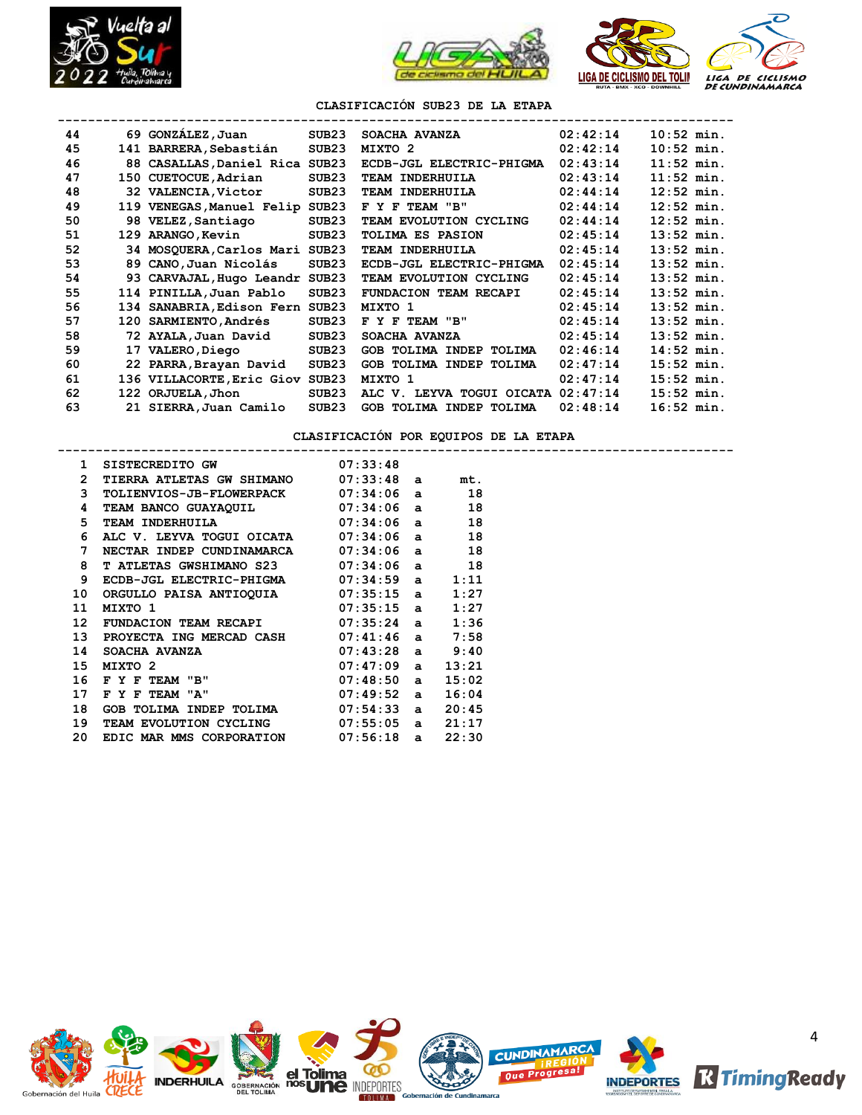





**-----------------------------------------------------------------------------------------**

**CLASIFICACIÓN SUB23 DE LA ETAPA**

| 44 | 69 GONZÁLEZ, Juan               | SUB23             | SOACHA AVANZA             | 02:42:14 | $10:52$ min. |
|----|---------------------------------|-------------------|---------------------------|----------|--------------|
| 45 | 141 BARRERA, Sebastián          | SUB23             | MIXTO 2                   | 02:42:14 | $10:52$ min. |
| 46 | 88 CASALLAS, Daniel Rica SUB23  |                   | ECDB-JGL ELECTRIC-PHIGMA  | 02:43:14 | $11:52$ min. |
| 47 | 150 CUETOCUE, Adrian            | SUB <sub>23</sub> | TEAM INDERHUILA           | 02:43:14 | $11:52$ min. |
| 48 | 32 VALENCIA, Victor             | SUB23             | TEAM INDERHUILA           | 02:44:14 | $12:52$ min. |
| 49 | 119 VENEGAS, Manuel Felip SUB23 |                   | F Y F TEAM "B"            | 02:44:14 | $12:52$ min. |
| 50 | 98 VELEZ, Santiago              | SUB <sub>23</sub> | TEAM EVOLUTION CYCLING    | 02:44:14 | $12:52$ min. |
| 51 | 129 ARANGO, Kevin               | SUB <sub>23</sub> | <b>TOLIMA ES PASION</b>   | 02:45:14 | $13:52$ min. |
| 52 | 34 MOSQUERA, Carlos Mari SUB23  |                   | TEAM INDERHUILA           | 02:45:14 | $13:52$ min. |
| 53 | 89 CANO, Juan Nicolás           | SUB23             | ECDB-JGL ELECTRIC-PHIGMA  | 02:45:14 | $13:52$ min. |
| 54 | 93 CARVAJAL, Hugo Leandr SUB23  |                   | TEAM EVOLUTION CYCLING    | 02:45:14 | $13:52$ min. |
| 55 | 114 PINILLA, Juan Pablo         | SUB <sub>23</sub> | FUNDACION TEAM RECAPI     | 02:45:14 | $13:52$ min. |
| 56 | 134 SANABRIA, Edison Fern SUB23 |                   | MIXTO 1                   | 02:45:14 | $13:52$ min. |
| 57 | 120 SARMIENTO, Andrés           | SUB23             | F Y F TEAM "B"            | 02:45:14 | $13:52$ min. |
| 58 | 72 AYALA, Juan David            | SUB23             | SOACHA AVANZA             | 02:45:14 | $13:52$ min. |
| 59 | 17 VALERO, Diego                | SUB23             | GOB TOLIMA INDEP TOLIMA   | 02:46:14 | $14:52$ min. |
| 60 | 22 PARRA, Brayan David          | SUB23             | GOB TOLIMA INDEP TOLIMA   | 02:47:14 | $15:52$ min. |
| 61 | 136 VILLACORTE, Eric Giov       | SUB23             | MIXTO 1                   | 02:47:14 | $15:52$ min. |
| 62 | 122 ORJUELA, Jhon               | SUB <sub>23</sub> | ALC V. LEYVA TOGUI OICATA | 02:47:14 | $15:52$ min. |
| 63 | 21 SIERRA, Juan Camilo          | SUB <sub>23</sub> | GOB TOLIMA INDEP TOLIMA   | 02:48:14 | $16:52$ min. |

**CLASIFICACIÓN POR EQUIPOS DE LA ETAPA**

| 1              | SISTECREDITO GW                  | 07:33:48 |              |       |
|----------------|----------------------------------|----------|--------------|-------|
| $\overline{2}$ | <b>TIERRA ATLETAS GW SHIMANO</b> | 07:33:48 | a            | mt.   |
| 3              | <b>TOLIENVIOS-JB-FLOWERPACK</b>  | 07:34:06 | $\mathbf{a}$ | 18    |
| 4              | TEAM BANCO GUAYAQUIL             | 07:34:06 | $\mathbf{a}$ | 18    |
| 5.             | TEAM INDERHUILA                  | 07:34:06 | $\mathbf{a}$ | 18    |
| 6              | ALC V. LEYVA TOGUI OICATA        | 07:34:06 | $\mathbf{a}$ | 18    |
| 7              | NECTAR INDEP CUNDINAMARCA        | 07:34:06 | $\mathbf{a}$ | 18    |
| 8              | T ATLETAS GWSHIMANO S23          | 07:34:06 | $\mathbf{a}$ | 18    |
| 9              | ECDB-JGL ELECTRIC-PHIGMA         | 07:34:59 | $\mathbf{a}$ | 1:11  |
| 10             | ORGULLO PAISA ANTIOQUIA          | 07:35:15 | $\mathbf{a}$ | 1:27  |
| 11             | MIXTO 1                          | 07:35:15 | $\mathbf{a}$ | 1:27  |
| 12             | FUNDACION TEAM RECAPI            | 07:35:24 | $\mathbf{a}$ | 1:36  |
| 13             | PROYECTA ING MERCAD CASH         | 07:41:46 | a            | 7:58  |
| 14             | SOACHA AVANZA                    | 07:43:28 | a            | 9:40  |
| 15             | MIXTO <sub>2</sub>               | 07:47:09 | $\mathbf{a}$ | 13:21 |
| 16             | F Y F TEAM "B"                   | 07:48:50 | $\mathbf{a}$ | 15:02 |
| 17             | F TEAM "A"<br>F Y                | 07:49:52 | $\mathbf{a}$ | 16:04 |
| 18             | GOB TOLIMA INDEP TOLIMA          | 07:54:33 | a            | 20:45 |
| 19             | TEAM EVOLUTION CYCLING           | 07:55:05 | $\mathbf{a}$ | 21:17 |
| 20             | EDIC MAR MMS CORPORATION         | 07:56:18 | a            | 22:30 |
|                |                                  |          |              |       |

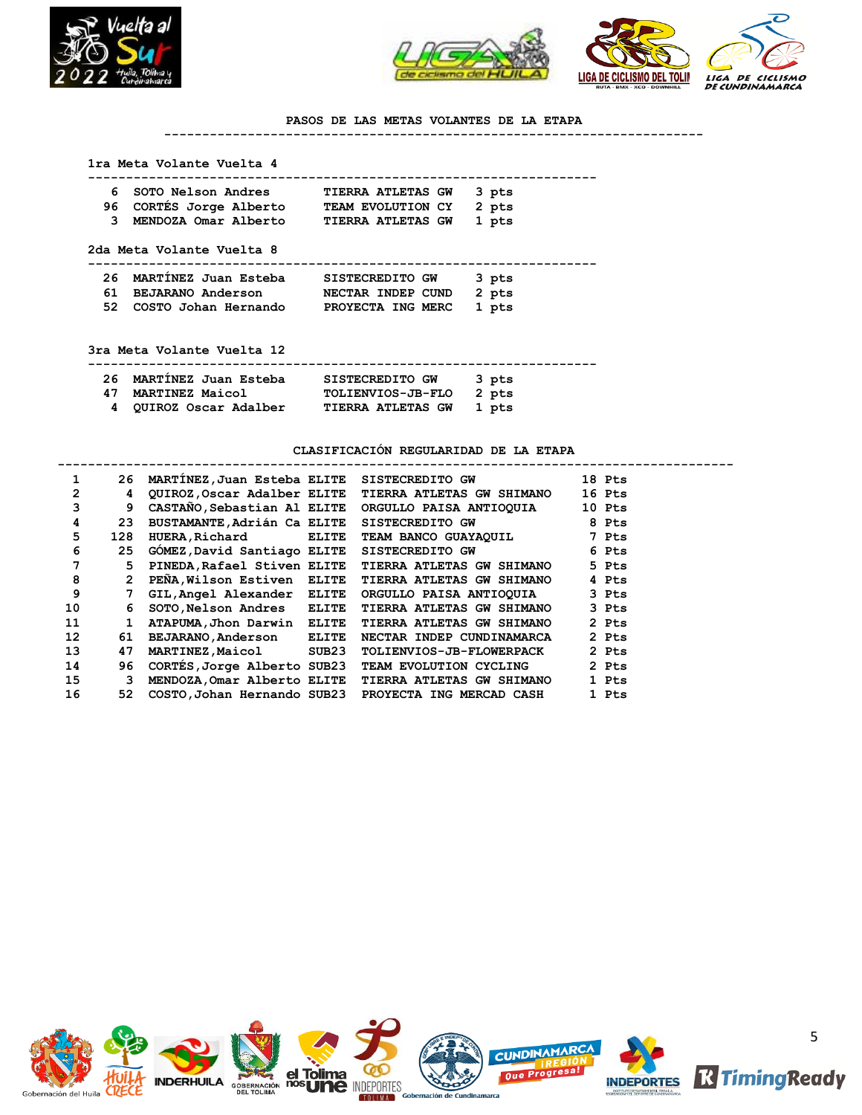



### **PASOS DE LAS METAS VOLANTES DE LA ETAPA**

**-----------------------------------------------------------------------**

## **1ra Meta Volante Vuelta 4**

| 6 SOTO Nelson Andres    | TIERRA ATLETAS GW 3 pts |  |
|-------------------------|-------------------------|--|
| 96 CORTÉS Jorge Alberto | TEAM EVOLUTION CY 2 pts |  |
| 3 MENDOZA Omar Alberto  | TIERRA ATLETAS GW 1 pts |  |

 **2da Meta Volante Vuelta 8**

 **-------------------------------------------------------------------**

| 26 MARTINEZ Juan Esteba | SISTECREDITO GW         | 3 pts |
|-------------------------|-------------------------|-------|
| 61 BEJARANO Anderson    | NECTAR INDEP CUND       | 2 pts |
| 52 COSTO Johan Hernando | PROYECTA ING MERC 1 pts |       |

 **3ra Meta Volante Vuelta 12**

| 26 MARTÍNEZ Juan Esteba | SISTECREDITO GW 3 pts   |  |
|-------------------------|-------------------------|--|
| 47 MARTINEZ Maicol      | TOLIENVIOS-JB-FLO 2 pts |  |
| 4 QUIROZ Oscar Adalber  | TIERRA ATLETAS GW 1 pts |  |

**CLASIFICACIÓN REGULARIDAD DE LA ETAPA**

| 1                | 26           | MARTINEZ, Juan Esteba ELITE        |              | SISTECREDITO GW                                       | 18 Pts |
|------------------|--------------|------------------------------------|--------------|-------------------------------------------------------|--------|
| $\overline{2}$   | 4            |                                    |              | QUIROZ, Oscar Adalber ELITE TIERRA ATLETAS GW SHIMANO | 16 Pts |
| 3                | 9            |                                    |              | CASTAÑO,Sebastian Al ELITE ORGULLO PAISA ANTIOQUIA    | 10 Pts |
| 4                | 23           | <b>BUSTAMANTE, Adrián Ca ELITE</b> |              | SISTECREDITO GW 8 Pts                                 |        |
| 5                | 128          | <b>HUERA, Richard</b>              | <b>ELITE</b> | TEAM BANCO GUAYAQUIL                                  | 7 Pts  |
| 6                | 25           | GOMEZ, David Santiago ELITE        |              | SISTECREDITO GW                                       | 6 Pts  |
| 7                | 5.           | PINEDA, Rafael Stiven ELITE        |              | <b>TIERRA ATLETAS GW SHIMANO</b>                      | 5 Pts  |
| 8                | $\mathbf{2}$ | PENA, Wilson Estiven ELITE         |              | <b>TIERRA ATLETAS GW SHIMANO</b>                      | 4 Pts  |
| 9                |              | GIL, Angel Alexander ELITE         |              | ORGULLO PAISA ANTIOQUIA                               | 3 Pts  |
| 10               | 6            | SOTO, Nelson Andres ELITE          |              | <b>TIERRA ATLETAS GW SHIMANO</b>                      | 3 Pts  |
| 11               | 1            | ATAPUMA, Jhon Darwin ELITE         |              | <b>TIERRA ATLETAS GW SHIMANO</b>                      | 2 Pts  |
| 12 <sup>12</sup> | 61           | BEJARANO, Anderson ELITE           |              | NECTAR INDEP CUNDINAMARCA                             | 2 Pts  |
| 13               | 47           | MARTINEZ, Maicol SUB23             |              | <b>TOLIENVIOS-JB-FLOWERPACK</b>                       | 2 Pts  |
| 14               | 96           | CORTÉS, Jorge Alberto SUB23        |              | TEAM EVOLUTION CYCLING                                | 2 Pts  |
| 15               | 3            | MENDOZA, Omar Alberto ELITE        |              | <b>TIERRA ATLETAS GW SHIMANO</b>                      | 1 Pts  |
| 16               | 52           | COSTO, Johan Hernando SUB23        |              | PROYECTA ING MERCAD CASH                              | 1 Pts  |
|                  |              |                                    |              |                                                       |        |

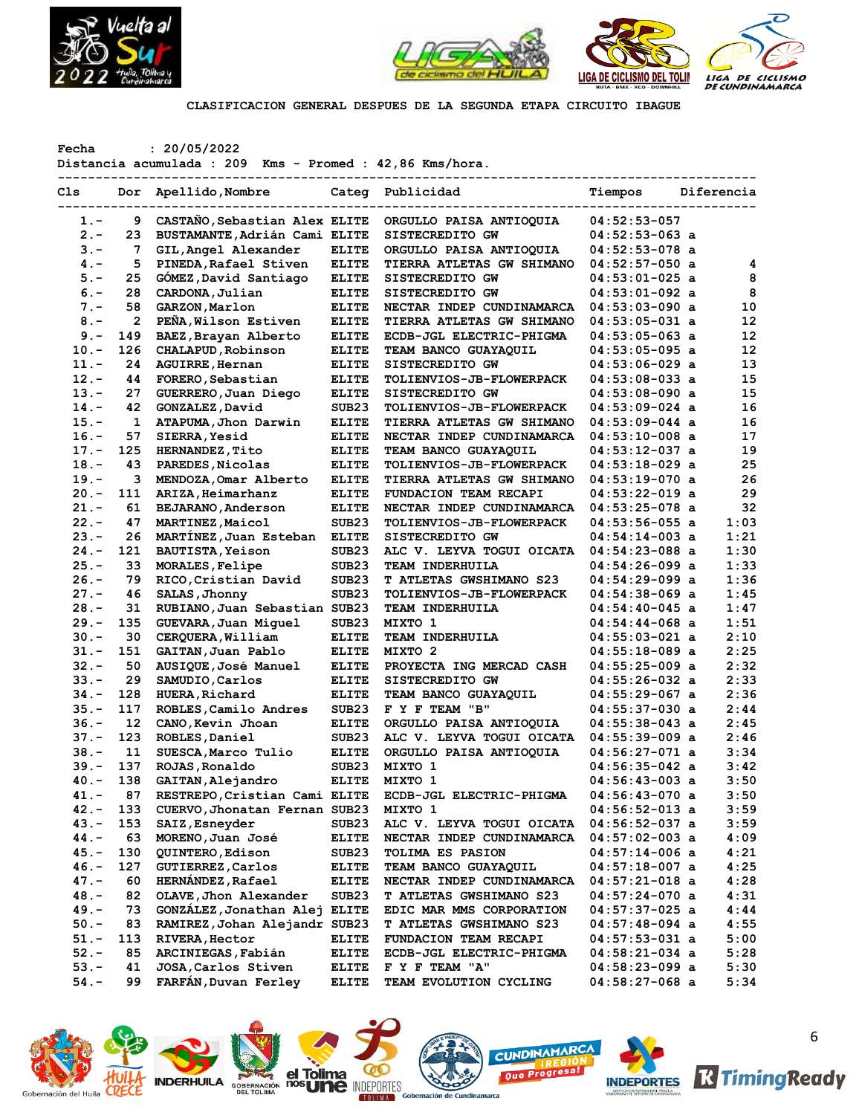



**CLASIFICACION GENERAL DESPUES DE LA SEGUNDA ETAPA CIRCUITO IBAGUE**

**Fecha : 20/05/2022**

**Distancia acumulada : 209 Kms - Promed : 42,86 Kms/hora.**

| Cls     | Dor            | Apellido, Nombre              |                   | Categ Publicidad                 | Tiempos          | Diferencia |
|---------|----------------|-------------------------------|-------------------|----------------------------------|------------------|------------|
| 1.-     | 9              | CASTAÑO, Sebastian Alex ELITE |                   | ORGULLO PAISA ANTIOQUIA          | $04:52:53-057$   |            |
| $2 -$   | 23             | BUSTAMANTE, Adrián Cami ELITE |                   | SISTECREDITO GW                  | $04:52:53-063$ a |            |
| $3 -$   | 7              | GIL, Angel Alexander          | <b>ELITE</b>      | ORGULLO PAISA ANTIOQUIA          | $04:52:53-078$ a |            |
| $4. -$  | 5              | PINEDA, Rafael Stiven         | <b>ELITE</b>      | <b>TIERRA ATLETAS GW SHIMANO</b> | $04:52:57-050$ a | 4          |
| $5. -$  | 25             | GÓMEZ, David Santiago         | <b>ELITE</b>      | SISTECREDITO GW                  | $04:53:01-025$ a | 8          |
| $6. -$  | 28             | CARDONA, Julian               | <b>ELITE</b>      | SISTECREDITO GW                  | 04:53:01-092 a   | 8          |
| $7 -$   | 58             | GARZON, Marlon                | <b>ELITE</b>      | NECTAR INDEP CUNDINAMARCA        | $04:53:03-090$ a | 10         |
| $8. -$  | $\overline{2}$ | PEÑA, Wilson Estiven          | <b>ELITE</b>      | TIERRA ATLETAS GW SHIMANO        | $04:53:05-031$ a | 12         |
| $9 -$   | 149            | BAEZ, Brayan Alberto          | <b>ELITE</b>      | ECDB-JGL ELECTRIC-PHIGMA         | $04:53:05-063$ a | 12         |
| $10. -$ | 126            | CHALAPUD, Robinson            | <b>ELITE</b>      | TEAM BANCO GUAYAQUIL             | 04:53:05-095 a   | 12         |
| $11. -$ | 24             | <b>AGUIRRE, Hernan</b>        | <b>ELITE</b>      | SISTECREDITO GW                  | $04:53:06-029$ a | 13         |
| $12 -$  | 44             | FORERO, Sebastian             | <b>ELITE</b>      | TOLIENVIOS-JB-FLOWERPACK         | $04:53:08-033$ a | 15         |
| $13 -$  | 27             | GUERRERO, Juan Diego          | <b>ELITE</b>      | SISTECREDITO GW                  | $04:53:08-090$ a | 15         |
| $14. -$ | 42             | GONZALEZ, David               | SUB <sub>23</sub> | <b>TOLIENVIOS-JB-FLOWERPACK</b>  | $04:53:09-024$ a | 16         |
| $15. -$ | $\mathbf{1}$   | ATAPUMA, Jhon Darwin          | <b>ELITE</b>      | TIERRA ATLETAS GW SHIMANO        | $04:53:09-044$ a | 16         |
| $16. -$ | 57             | <b>SIERRA, Yesid</b>          | <b>ELITE</b>      | NECTAR INDEP CUNDINAMARCA        | $04:53:10-008$ a | 17         |
| $17. -$ | 125            | <b>HERNANDEZ, Tito</b>        | <b>ELITE</b>      | TEAM BANCO GUAYAQUIL             | 04:53:12-037 a   | 19         |
| $18. -$ | 43             | PAREDES, Nicolas              | <b>ELITE</b>      | TOLIENVIOS-JB-FLOWERPACK         | $04:53:18-029$ a | 25         |
| $19. -$ | з              | MENDOZA, Omar Alberto         | <b>ELITE</b>      | TIERRA ATLETAS GW SHIMANO        | $04:53:19-070$ a | 26         |
| $20 -$  | 111            | ARIZA, Heimarhanz             | <b>ELITE</b>      | FUNDACION TEAM RECAPI            | $04:53:22-019$ a | 29         |
| $21. -$ | 61             | BEJARANO, Anderson            | <b>ELITE</b>      | NECTAR INDEP CUNDINAMARCA        | $04:53:25-078$ a | 32         |
| $22 -$  | 47             | MARTINEZ, Maicol              | SUB <sub>23</sub> | TOLIENVIOS-JB-FLOWERPACK         | $04:53:56-055$ a | 1:03       |
| $23 -$  | 26             | MARTINEZ, Juan Esteban        | <b>ELITE</b>      | SISTECREDITO GW                  | $04:54:14-003$ a | 1:21       |
| $24. -$ | 121            | <b>BAUTISTA, Yeison</b>       | SUB <sub>23</sub> | ALC V. LEYVA TOGUI OICATA        | $04:54:23-088$ a | 1:30       |
| $25. -$ | 33             | MORALES, Felipe               | SUB <sub>23</sub> | TEAM INDERHUILA                  | $04:54:26-099$ a | 1:33       |
| $26. -$ | 79             | RICO, Cristian David          | SUB <sub>23</sub> | T ATLETAS GWSHIMANO S23          | $04:54:29-099$ a | 1:36       |
| $27 -$  | 46             | SALAS, Jhonny                 | SUB <sub>23</sub> | <b>TOLIENVIOS-JB-FLOWERPACK</b>  | $04:54:38-069$ a | 1:45       |
| $28. -$ | 31             | RUBIANO, Juan Sebastian SUB23 |                   | TEAM INDERHUILA                  | 04:54:40-045 a   | 1:47       |
| $29. -$ | 135            | GUEVARA, Juan Miguel          | SUB23             | MIXTO 1                          | 04:54:44-068 a   | 1:51       |
| $30 -$  | 30             | CERQUERA, William             | <b>ELITE</b>      | TEAM INDERHUILA                  | $04:55:03-021$ a | 2:10       |
| $31 -$  | 151            | GAITAN, Juan Pablo            | <b>ELITE</b>      | MIXTO 2                          | $04:55:18-089$ a | 2:25       |
| $32 -$  | 50             | AUSIQUE, José Manuel          | <b>ELITE</b>      | PROYECTA ING MERCAD CASH         | $04:55:25-009$ a | 2:32       |
| $33 -$  | 29             | SAMUDIO, Carlos               | <b>ELITE</b>      | SISTECREDITO GW                  | $04:55:26-032$ a | 2:33       |
| $34. -$ | 128            | <b>HUERA, Richard</b>         | <b>ELITE</b>      | TEAM BANCO GUAYAQUIL             | $04:55:29-067$ a | 2:36       |
| $35. -$ | 117            | ROBLES, Camilo Andres         | SUB <sub>23</sub> | F Y F TEAM "B"                   | $04:55:37-030$ a | 2:44       |
| $36. -$ | 12             | CANO, Kevin Jhoan             | <b>ELITE</b>      | ORGULLO PAISA ANTIOQUIA          | $04:55:38-043$ a | 2:45       |
| $37. -$ | 123            | ROBLES, Daniel                | SUB <sub>23</sub> | ALC V. LEYVA TOGUI OICATA        | $04:55:39-009$ a | 2:46       |
| $38. -$ | 11             | SUESCA, Marco Tulio           | <b>ELITE</b>      | ORGULLO PAISA ANTIOQUIA          | $04:56:27-071$ a | 3:34       |
| $39. -$ | 137            | ROJAS, Ronaldo                | SUB23             | MIXTO 1                          | $04:56:35-042$ a | 3:42       |
| $40. -$ | 138            | GAITAN, Alejandro             | <b>ELITE</b>      | MIXTO 1                          | $04:56:43-003$ a | 3:50       |
| $41. -$ | 87             | RESTREPO, Cristian Cami ELITE |                   | ECDB-JGL ELECTRIC-PHIGMA         | 04:56:43-070 a   | 3:50       |
| 42.-    | 133            | CUERVO, Jhonatan Fernan SUB23 |                   | MIXTO 1                          | $04:56:52-013$ a | 3:59       |
| 43.-    | 153            | SAIZ, Esneyder                | SUB <sub>23</sub> | ALC V. LEYVA TOGUI OICATA        | $04:56:52-037$ a | 3:59       |
| $44. -$ | 63             | MORENO, Juan José             | <b>ELITE</b>      | NECTAR INDEP CUNDINAMARCA        | $04:57:02-003$ a | 4:09       |
| $45.-$  | 130            | QUINTERO, Edison              | SUB <sub>23</sub> | <b>TOLIMA ES PASION</b>          | $04:57:14-006$ a | 4:21       |
| $46. -$ | 127            | <b>GUTIERREZ, Carlos</b>      | <b>ELITE</b>      | TEAM BANCO GUAYAQUIL             | $04:57:18-007$ a | 4:25       |
| $47. -$ | 60             | HERNÁNDEZ, Rafael             | <b>ELITE</b>      | NECTAR INDEP CUNDINAMARCA        | $04:57:21-018$ a | 4:28       |
| $48. -$ | 82             | OLAVE, Jhon Alexander         | SUB <sub>23</sub> | <b>T ATLETAS GWSHIMANO S23</b>   | 04:57:24-070 a   | 4:31       |
| $49. -$ | 73             | GONZÁLEZ, Jonathan Alej ELITE |                   | EDIC MAR MMS CORPORATION         | $04:57:37-025$ a | 4:44       |
| $50. -$ | 83             | RAMIREZ, Johan Alejandr SUB23 |                   | T ATLETAS GWSHIMANO S23          | $04:57:48-094$ a | 4:55       |
| $51. -$ | 113            | <b>RIVERA, Hector</b>         | <b>ELITE</b>      | FUNDACION TEAM RECAPI            | $04:57:53-031$ a | 5:00       |
| $52 -$  | 85             | ARCINIEGAS, Fabián            | <b>ELITE</b>      | ECDB-JGL ELECTRIC-PHIGMA         | $04:58:21-034$ a | 5:28       |
| $53. -$ | 41             | JOSA, Carlos Stiven           | <b>ELITE</b>      | F Y F TEAM "A"                   | 04:58:23-099 a   | 5:30       |
| $54. -$ | 99             | FARFAN, Duvan Ferley          | <b>ELITE</b>      | TEAM EVOLUTION CYCLING           | $04:58:27-068$ a | 5:34       |









**Que Prog** 



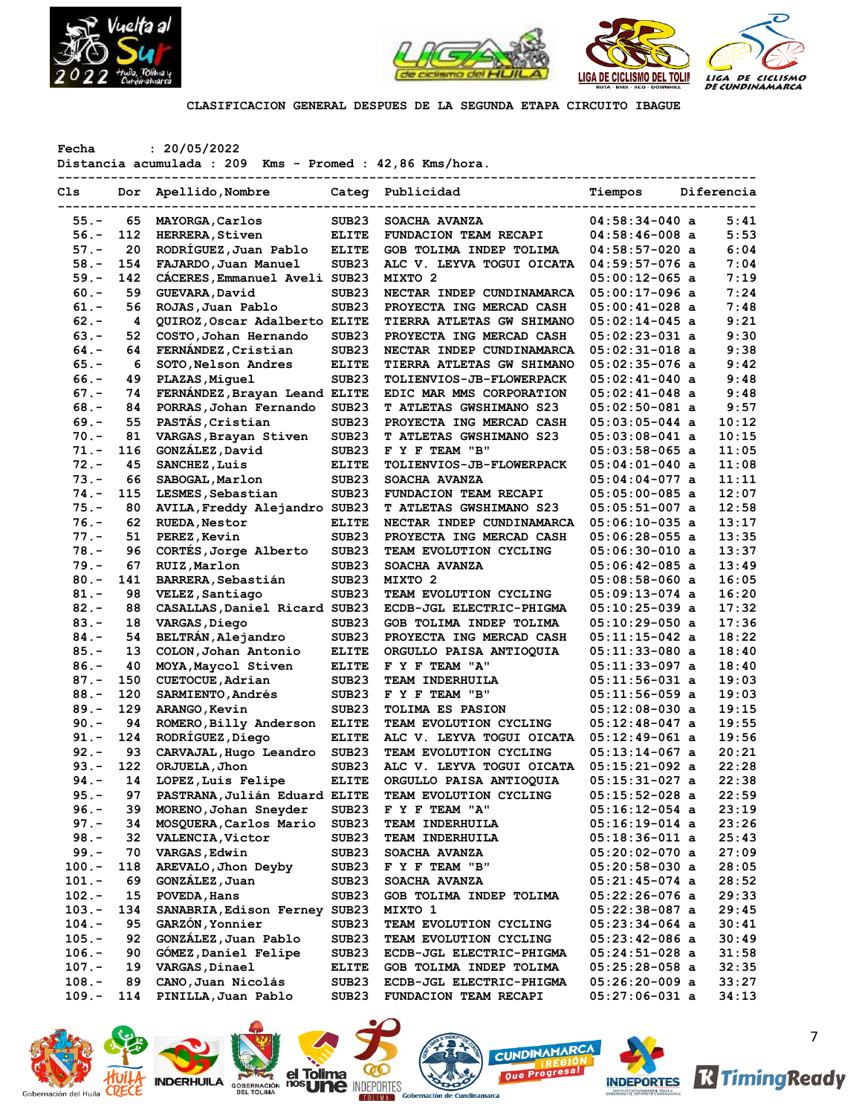



**CLASIFICACION GENERAL DESPUES DE LA SEGUNDA ETAPA CIRCUITO IBAGUE**

**Fecha : 20/05/2022**

**Distancia acumulada : 209 Kms - Promed : 42,86 Kms/hora.**

| Cls      | Dor | Apellido, Nombre              |                   | Categ Publicidad                 | Tiempos          | Diferencia |
|----------|-----|-------------------------------|-------------------|----------------------------------|------------------|------------|
| $55. -$  | 65  | MAYORGA, Carlos               | SUB23             | SOACHA AVANZA                    | $04:58:34-040$ a | 5:41       |
| $56. -$  | 112 | <b>HERRERA, Stiven</b>        | <b>ELITE</b>      | FUNDACION TEAM RECAPI            | $04:58:46-008$ a | 5:53       |
| $57. -$  | 20  | RODRÍGUEZ, Juan Pablo         | <b>ELITE</b>      | GOB TOLIMA INDEP TOLIMA          | $04:58:57-020$ a | 6:04       |
| $58. -$  | 154 | FAJARDO, Juan Manuel          | SUB <sub>23</sub> | ALC V. LEYVA TOGUI OICATA        | $04:59:57-076$ a | 7:04       |
| $59. -$  | 142 | CACERES, Emmanuel Aveli       | SUB <sub>23</sub> | MIXTO 2                          | $05:00:12-065$ a | 7:19       |
| $60 -$   | 59  | GUEVARA, David                | SUB <sub>23</sub> | NECTAR INDEP CUNDINAMARCA        | $05:00:17-096$ a | 7:24       |
| $61. -$  | 56  | ROJAS, Juan Pablo             | SUB <sub>23</sub> | PROYECTA ING MERCAD CASH         | $05:00:41-028$ a | 7:48       |
| $62 -$   | 4   | QUIROZ, Oscar Adalberto ELITE |                   | <b>TIERRA ATLETAS GW SHIMANO</b> | $05:02:14-045$ a | 9:21       |
| $63 -$   | 52  | COSTO, Johan Hernando         | SUB <sub>23</sub> | PROYECTA ING MERCAD CASH         | $05:02:23-031$ a | 9:30       |
| $64. -$  | 64  | FERNÁNDEZ, Cristian           | SUB <sub>23</sub> | NECTAR INDEP CUNDINAMARCA        | $05:02:31-018$ a | 9:38       |
| $65. -$  | 6   | SOTO, Nelson Andres           | <b>ELITE</b>      | <b>TIERRA ATLETAS GW SHIMANO</b> | $05:02:35-076$ a | 9:42       |
| $66. -$  | 49  |                               | SUB <sub>23</sub> |                                  |                  | 9:48       |
|          |     | PLAZAS, Miquel                |                   | <b>TOLIENVIOS-JB-FLOWERPACK</b>  | $05:02:41-040$ a |            |
| $67. -$  | 74  | FERNÁNDEZ, Brayan Leand ELITE |                   | EDIC MAR MMS CORPORATION         | $05:02:41-048$ a | 9:48       |
| $68. -$  | 84  | PORRAS, Johan Fernando        | SUB <sub>23</sub> | <b>T ATLETAS GWSHIMANO S23</b>   | $05:02:50-081$ a | 9:57       |
| $69. -$  | 55  | PASTÁS, Cristian              | SUB <sub>23</sub> | PROYECTA ING MERCAD CASH         | $05:03:05-044$ a | 10:12      |
| $70. -$  | 81  | VARGAS, Brayan Stiven         | SUB <sub>23</sub> | <b>T ATLETAS GWSHIMANO S23</b>   | $05:03:08-041$ a | 10:15      |
| $71. -$  | 116 | GONZÁLEZ, David               | SUB <sub>23</sub> | F Y F TEAM "B"                   | $05:03:58-065$ a | 11:05      |
| $72 -$   | 45  | SANCHEZ, Luis                 | <b>ELITE</b>      | TOLIENVIOS-JB-FLOWERPACK         | $05:04:01-040$ a | 11:08      |
| $73. -$  | 66  | SABOGAL, Marlon               | SUB23             | SOACHA AVANZA                    | $05:04:04-077$ a | 11:11      |
| $74. -$  | 115 | LESMES, Sebastian             | SUB <sub>23</sub> | FUNDACION TEAM RECAPI            | $05:05:00-085$ a | 12:07      |
| $75. -$  | 80  | AVILA, Freddy Alejandro SUB23 |                   | T ATLETAS GWSHIMANO S23          | $05:05:51-007$ a | 12:58      |
| $76. -$  | 62  | <b>RUEDA, Nestor</b>          | <b>ELITE</b>      | NECTAR INDEP CUNDINAMARCA        | $05:06:10-035$ a | 13:17      |
| $77. -$  | 51  | PEREZ, Kevin                  | SUB <sub>23</sub> | PROYECTA ING MERCAD CASH         | $05:06:28-055$ a | 13:35      |
| $78. -$  | 96  | CORTÉS, Jorge Alberto         | SUB <sub>23</sub> | TEAM EVOLUTION CYCLING           | $05:06:30-010$ a | 13:37      |
| $79. -$  | 67  | RUIZ, Marlon                  | SUB <sub>23</sub> | SOACHA AVANZA                    | $05:06:42-085$ a | 13:49      |
| $80. -$  | 141 | BARRERA, Sebastián            | SUB <sub>23</sub> | MIXTO <sub>2</sub>               | $05:08:58-060$ a | 16:05      |
| $81. -$  | 98  | VELEZ, Santiago               | SUB23             | TEAM EVOLUTION CYCLING           | $05:09:13-074$ a | 16:20      |
| $82 -$   | 88  | CASALLAS, Daniel Ricard SUB23 |                   | ECDB-JGL ELECTRIC-PHIGMA         | $05:10:25-039$ a | 17:32      |
| $83 -$   | 18  | VARGAS, Diego                 | SUB <sub>23</sub> | GOB TOLIMA INDEP TOLIMA          | $05:10:29-050$ a | 17:36      |
| $84. -$  | 54  | BELTRÁN, Alejandro            | SUB <sub>23</sub> | PROYECTA ING MERCAD CASH         | $05:11:15-042$ a | 18:22      |
| $85. -$  | 13  | COLON, Johan Antonio          | <b>ELITE</b>      | ORGULLO PAISA ANTIOQUIA          | $05:11:33-080$ a | 18:40      |
|          | 40  |                               |                   |                                  |                  | 18:40      |
| $86. -$  |     | MOYA, Maycol Stiven           | <b>ELITE</b>      | F Y F TEAM "A"                   | $05:11:33-097$ a |            |
| $87. -$  | 150 | CUETOCUE, Adrian              | SUB23             | <b>TEAM INDERHUILA</b>           | $05:11:56-031$ a | 19:03      |
| $88. -$  | 120 | SARMIENTO, Andrés             | SUB23             | F Y F TEAM "B"                   | $05:11:56-059$ a | 19:03      |
| $89. -$  | 129 | <b>ARANGO, Kevin</b>          | SUB <sub>23</sub> | <b>TOLIMA ES PASION</b>          | $05:12:08-030$ a | 19:15      |
| $90 -$   | 94  | ROMERO, Billy Anderson        | <b>ELITE</b>      | TEAM EVOLUTION CYCLING           | $05:12:48-047$ a | 19:55      |
| $91 -$   | 124 | RODRÍGUEZ, Diego              | ELITE             | ALC V. LEYVA TOGUI OICATA        | $05:12:49-061$ a | 19:56      |
| $92 -$   | 93  | CARVAJAL, Hugo Leandro        | SUB <sub>23</sub> | TEAM EVOLUTION CYCLING           | $05:13:14-067$ a | 20:21      |
| $93. -$  | 122 | ORJUELA, Jhon                 | SUB23             | ALC V. LEYVA TOGUI OICATA        | $05:15:21-092$ a | 22:28      |
| $94. -$  | 14  | LOPEZ, Luis Felipe            | <b>ELITE</b>      | ORGULLO PAISA ANTIOQUIA          | $05:15:31-027$ a | 22:38      |
| $95. -$  | 97  | PASTRANA, Julián Eduard ELITE |                   | TEAM EVOLUTION CYCLING           | $05:15:52-028$ a | 22:59      |
| $96. -$  | 39  | MORENO, Johan Sneyder         | SUB23             | F Y F TEAM "A"                   | $05:16:12-054$ a | 23:19      |
| $97. -$  | 34  | MOSQUERA, Carlos Mario        | SUB23             | <b>TEAM INDERHUILA</b>           | $05:16:19-014$ a | 23:26      |
| $98. -$  | 32  | <b>VALENCIA, Victor</b>       | SUB <sub>23</sub> | TEAM INDERHUILA                  | $05:18:36-011$ a | 25:43      |
| $99. -$  | 70  | <b>VARGAS, Edwin</b>          | SUB23             | SOACHA AVANZA                    | $05:20:02-070$ a | 27:09      |
| 100.-    | 118 | AREVALO, Jhon Deyby           | SUB23             | F Y F TEAM "B"                   | $05:20:58-030$ a | 28:05      |
| $101. -$ | 69  | GONZÁLEZ, Juan                | SUB23             | SOACHA AVANZA                    | $05:21:45-074$ a | 28:52      |
| $102. -$ | 15  | POVEDA, Hans                  | SUB23             | GOB TOLIMA INDEP TOLIMA          | $05:22:26-076$ a | 29:33      |
| 103.-    | 134 | SANABRIA, Edison Ferney SUB23 |                   | MIXTO 1                          | $05:22:38-087$ a | 29:45      |
| $104. -$ | 95  | GARZÓN, Yonnier               | SUB23             | TEAM EVOLUTION CYCLING           | $05:23:34-064$ a | 30:41      |
| $105. -$ | 92  | GONZÁLEZ, Juan Pablo          | SUB23             | TEAM EVOLUTION CYCLING           | $05:23:42-086$ a | 30:49      |
| $106. -$ | 90  | GOMEZ, Daniel Felipe          | SUB23             | ECDB-JGL ELECTRIC-PHIGMA         | $05:24:51-028$ a | 31:58      |
| $107. -$ | 19  | VARGAS, Dinael                | <b>ELITE</b>      | GOB TOLIMA INDEP TOLIMA          | $05:25:28-058$ a | 32:35      |
| $108. -$ | 89  | CANO, Juan Nicolás            | SUB <sub>23</sub> | ECDB-JGL ELECTRIC-PHIGMA         | $05:26:20-009$ a | 33:27      |
| 109.-    | 114 | PINILLA, Juan Pablo           | SUB23             | FUNDACION TEAM RECAPI            | $05:27:06-031$ a | 34:13      |
|          |     |                               |                   |                                  |                  |            |

Gobernación del Huila **CRE** 











7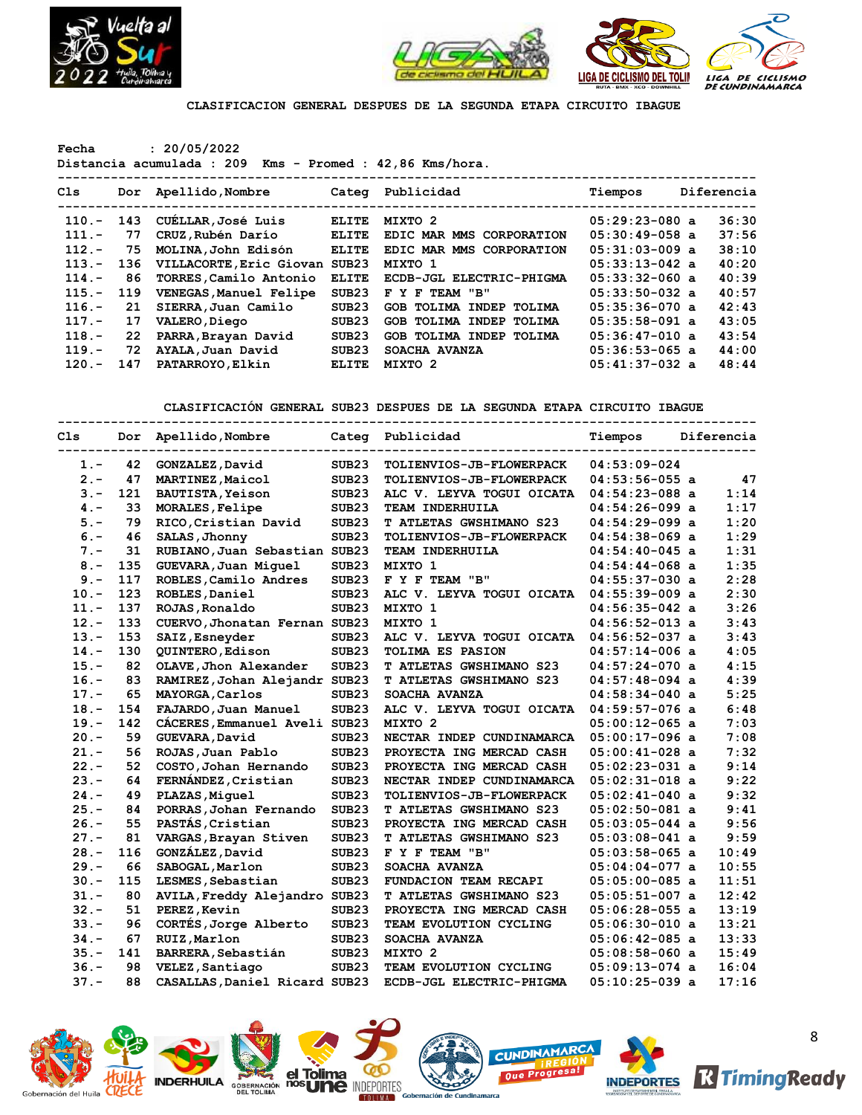



**CLASIFICACION GENERAL DESPUES DE LA SEGUNDA ETAPA CIRCUITO IBAGUE**

**Fecha : 20/05/2022**

**Distancia acumulada : 209 Kms - Promed : 42,86 Kms/hora.**

| Cls      |     | Dor Apellido, Nombre    | Categ        | Publicidad               | Tiempos          | Diferencia |
|----------|-----|-------------------------|--------------|--------------------------|------------------|------------|
| $110 -$  | 143 | CUELLAR, José Luis      | <b>ELITE</b> | MIXTO 2                  | $05:29:23-080$ a | 36:30      |
| $111. -$ | 77  | CRUZ,Rubén Darío        | <b>ELITE</b> | EDIC MAR MMS CORPORATION | $05:30:49-058$ a | 37:56      |
| $112 -$  | 75  | MOLINA,John Edisón      | <b>ELITE</b> | EDIC MAR MMS CORPORATION | $05:31:03-009$ a | 38:10      |
| $113. -$ | 136 | VILLACORTE, Eric Giovan | SUB23        | MIXTO 1                  | $05:33:13-042$ a | 40:20      |
| $114. -$ | 86  | TORRES, Camilo Antonio  | <b>ELITE</b> | ECDB-JGL ELECTRIC-PHIGMA | $05:33:32-060$ a | 40:39      |
| $115. -$ | 119 | VENEGAS, Manuel Felipe  | SUB23        | F Y F TEAM "B"           | $05:33:50-032$ a | 40:57      |
| $116. -$ | 21  | SIERRA, Juan Camilo     | SUB23        | GOB TOLIMA INDEP TOLIMA  | $05:35:36-070$ a | 42:43      |
| $117. -$ | 17  | VALERO, Diego           | SUB23        | GOB TOLIMA INDEP TOLIMA  | $05:35:58-091$ a | 43:05      |
| $118. -$ | 22  | PARRA, Brayan David     | SUB23        | GOB TOLIMA INDEP TOLIMA  | $05:36:47-010$ a | 43:54      |
| $119. -$ | 72  | AYALA, Juan David       | SUB23        | SOACHA AVANZA            | $05:36:53-065$ a | 44:00      |
| $120 -$  | 147 | PATARROYO, Elkin        | <b>ELITE</b> | MIXTO 2                  | $05:41:37-032$ a | 48:44      |
|          |     |                         |              |                          |                  |            |

**CLASIFICACIÓN GENERAL SUB23 DESPUES DE LA SEGUNDA ETAPA CIRCUITO IBAGUE**

| C1s     | Dor | Apellido, Nombre              |                   | Categ Publicidad               | Tiempos          | Diferencia |
|---------|-----|-------------------------------|-------------------|--------------------------------|------------------|------------|
| $1 -$   | 42  | GONZALEZ, David               | SUB <sub>23</sub> | TOLIENVIOS-JB-FLOWERPACK       | $04:53:09-024$   |            |
| $2 -$   | 47  | MARTINEZ, Maicol              | SUB <sub>23</sub> | TOLIENVIOS-JB-FLOWERPACK       | $04:53:56-055$ a | 47         |
| $3 -$   | 121 | BAUTISTA, Yeison              | SUB <sub>23</sub> | ALC V. LEYVA TOGUI OICATA      | $04:54:23-088$ a | 1:14       |
| $4. -$  | 33  | MORALES, Felipe               | SUB <sub>23</sub> | TEAM INDERHUILA                | $04:54:26-099$ a | 1:17       |
| $5. -$  | 79  | RICO, Cristian David          | SUB <sub>23</sub> | <b>T ATLETAS GWSHIMANO S23</b> | $04:54:29-099$ a | 1:20       |
| $6. -$  | 46  | SALAS, Jhonny                 | SUB <sub>23</sub> | TOLIENVIOS-JB-FLOWERPACK       | $04:54:38-069$ a | 1:29       |
| $7 -$   | 31  | RUBIANO, Juan Sebastian SUB23 |                   | TEAM INDERHUILA                | 04:54:40-045 a   | 1:31       |
| $8 -$   | 135 | GUEVARA, Juan Miquel          | SUB <sub>23</sub> | MIXTO 1                        | $04:54:44-068$ a | 1:35       |
| $9 -$   | 117 | ROBLES, Camilo Andres         | SUB <sub>23</sub> | F Y F TEAM "B"                 | $04:55:37-030$ a | 2:28       |
| $10. -$ | 123 | ROBLES, Daniel                | SUB <sub>23</sub> | ALC V. LEYVA TOGUI OICATA      | $04:55:39-009$ a | 2:30       |
| $11. -$ | 137 | ROJAS, Ronaldo                | SUB <sub>23</sub> | MIXTO 1                        | $04:56:35-042$ a | 3:26       |
| $12. -$ | 133 | CUERVO, Jhonatan Fernan SUB23 |                   | MIXTO 1                        | $04:56:52-013$ a | 3:43       |
| $13. -$ | 153 | SAIZ, Esneyder                | SUB <sub>23</sub> | ALC V. LEYVA TOGUI OICATA      | $04:56:52-037$ a | 3:43       |
| $14. -$ | 130 | QUINTERO, Edison              | SUB <sub>23</sub> | <b>TOLIMA ES PASION</b>        | $04:57:14-006$ a | 4:05       |
| $15. -$ | 82  | OLAVE, Jhon Alexander         | SUB <sub>23</sub> | <b>T ATLETAS GWSHIMANO S23</b> | $04:57:24-070$ a | 4:15       |
| $16. -$ | 83  | RAMIREZ, Johan Alejandr SUB23 |                   | <b>T ATLETAS GWSHIMANO S23</b> | $04:57:48-094$ a | 4:39       |
| $17 -$  | 65  | MAYORGA, Carlos               | SUB <sub>23</sub> | SOACHA AVANZA                  | $04:58:34-040$ a | 5:25       |
| $18. -$ | 154 | FAJARDO, Juan Manuel          | SUB <sub>23</sub> | ALC V. LEYVA TOGUI OICATA      | $04:59:57-076$ a | 6:48       |
| $19. -$ | 142 | CACERES, Emmanuel Aveli SUB23 |                   | MIXTO <sub>2</sub>             | $05:00:12-065$ a | 7:03       |
| $20. -$ | 59  | GUEVARA, David                | SUB <sub>23</sub> | NECTAR INDEP CUNDINAMARCA      | $05:00:17-096$ a | 7:08       |
| $21. -$ | 56  | ROJAS, Juan Pablo             | SUB <sub>23</sub> | PROYECTA ING MERCAD CASH       | $05:00:41-028$ a | 7:32       |
| $22 -$  | 52  | COSTO, Johan Hernando         | SUB <sub>23</sub> | PROYECTA ING MERCAD CASH       | $05:02:23-031$ a | 9:14       |
| $23 -$  | 64  | FERNÁNDEZ, Cristian           | SUB <sub>23</sub> | NECTAR INDEP CUNDINAMARCA      | $05:02:31-018$ a | 9:22       |
| $24. -$ | 49  | PLAZAS, Miquel                | SUB <sub>23</sub> | TOLIENVIOS-JB-FLOWERPACK       | $05:02:41-040$ a | 9:32       |
| $25. -$ | 84  | PORRAS, Johan Fernando        | SUB <sub>23</sub> | <b>T ATLETAS GWSHIMANO S23</b> | 05:02:50-081 a   | 9:41       |
| $26. -$ | 55  | PASTÁS, Cristian              | SUB <sub>23</sub> | PROYECTA ING MERCAD CASH       | $05:03:05-044$ a | 9:56       |
| $27. -$ | 81  | VARGAS, Brayan Stiven         | SUB <sub>23</sub> | T ATLETAS GWSHIMANO S23        | $05:03:08-041$ a | 9:59       |
| $28. -$ | 116 | GONZÁLEZ, David               | SUB <sub>23</sub> | F Y F TEAM "B"                 | $05:03:58-065$ a | 10:49      |
| $29. -$ | 66  | SABOGAL, Marlon               | SUB <sub>23</sub> | SOACHA AVANZA                  | $05:04:04-077$ a | 10:55      |
| $30 -$  | 115 | LESMES, Sebastian             | SUB <sub>23</sub> | FUNDACION TEAM RECAPI          | $05:05:00-085$ a | 11:51      |
| $31 -$  | 80  | AVILA, Freddy Alejandro SUB23 |                   | <b>T ATLETAS GWSHIMANO S23</b> | $05:05:51-007$ a | 12:42      |
| $32 -$  | 51  | PEREZ, Kevin                  | SUB <sub>23</sub> | PROYECTA ING MERCAD CASH       | $05:06:28-055$ a | 13:19      |
| $33 -$  | 96  | CORTÉS, Jorge Alberto         | SUB <sub>23</sub> | TEAM EVOLUTION CYCLING         | 05:06:30-010 a   | 13:21      |
| $34. -$ | 67  | RUIZ, Marlon                  | SUB <sub>23</sub> | SOACHA AVANZA                  | $05:06:42-085$ a | 13:33      |
| $35. -$ | 141 | BARRERA, Sebastián            | SUB <sub>23</sub> | MIXTO <sub>2</sub>             | $05:08:58-060$ a | 15:49      |
| $36. -$ | 98  | VELEZ, Santiago               | SUB <sub>23</sub> | TEAM EVOLUTION CYCLING         | $05:09:13-074$ a | 16:04      |
| $37. -$ | 88  | CASALLAS, Daniel Ricard SUB23 |                   | ECDB-JGL ELECTRIC-PHIGMA       | $05:10:25-039$ a | 17:16      |







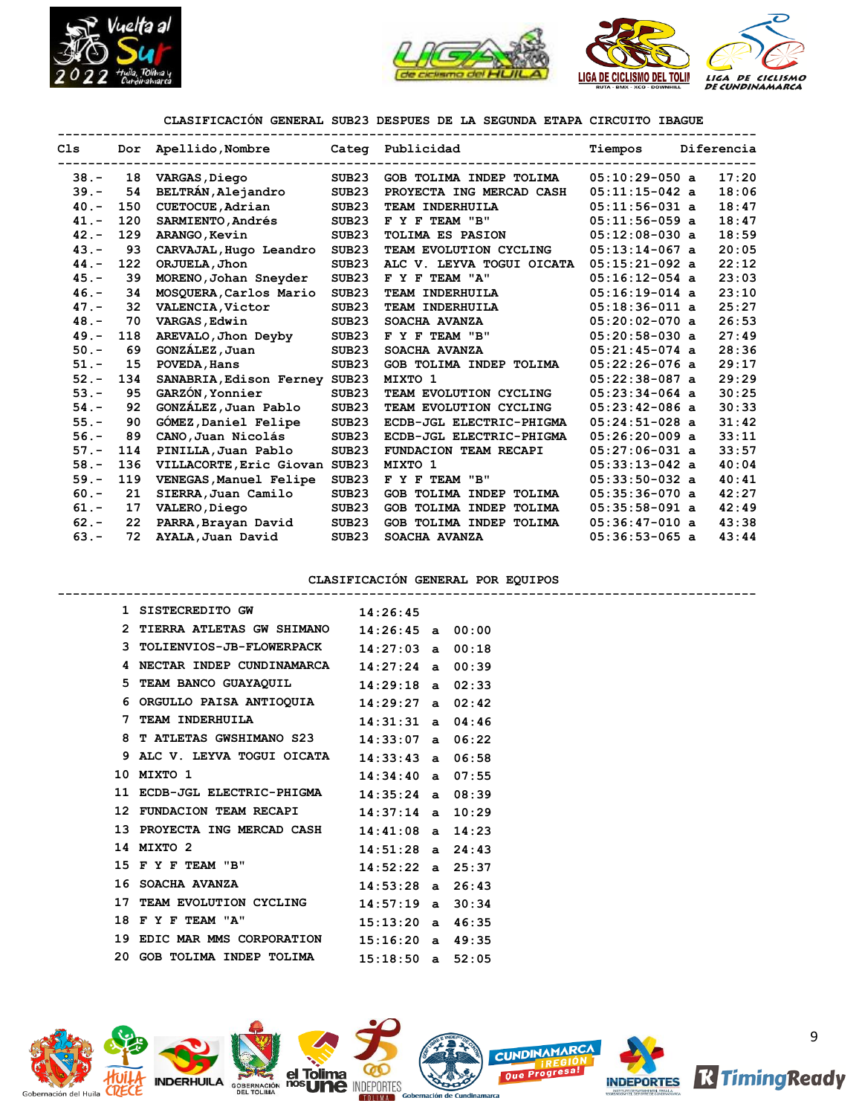



# **CLASIFICACIÓN GENERAL SUB23 DESPUES DE LA SEGUNDA ETAPA CIRCUITO IBAGUE**

| C1s     |     | Dor Apellido, Nombre          |                   | Categ Publicidad             | Tiempos          | Diferencia |
|---------|-----|-------------------------------|-------------------|------------------------------|------------------|------------|
| $38 -$  | 18  | VARGAS, Diego                 | SUB <sub>23</sub> | GOB TOLIMA INDEP TOLIMA      | $05:10:29-050$ a | 17:20      |
| $39 -$  | 54  | BELTRÁN, Alejandro            | SUB <sub>23</sub> | PROYECTA ING MERCAD CASH     | $05:11:15-042$ a | 18:06      |
| $40 -$  | 150 | CUETOCUE, Adrian              | SUB <sub>23</sub> | TEAM INDERHUILA              | $05:11:56-031$ a | 18:47      |
| $41. -$ | 120 | SARMIENTO, Andrés             | SUB <sub>23</sub> | F Y F TEAM "B"               | $05:11:56-059$ a | 18:47      |
| $42 -$  | 129 | ARANGO, Kevin                 | SUB <sub>23</sub> | TOLIMA ES PASION             | $05:12:08-030$ a | 18:59      |
| $43. -$ | 93  | CARVAJAL, Hugo Leandro        | SUB <sub>23</sub> | TEAM EVOLUTION CYCLING       | $05:13:14-067$ a | 20:05      |
| $44. -$ | 122 | ORJUELA, Jhon                 | SUB23             | ALC V. LEYVA TOGUI OICATA    | $05:15:21-092$ a | 22:12      |
| $45. -$ | 39  | MORENO, Johan Sneyder         | SUB <sub>23</sub> | F Y F TEAM "A"               | $05:16:12-054$ a | 23:03      |
| $46. -$ | 34  | MOSQUERA, Carlos Mario        | SUB <sub>23</sub> | TEAM INDERHUILA              | $05:16:19-014$ a | 23:10      |
| $47. -$ | 32  | VALENCIA, Victor              | SUB <sub>23</sub> | TEAM INDERHUILA              | $05:18:36-011$ a | 25:27      |
| $48. -$ | 70  | VARGAS, Edwin                 | SUB <sub>23</sub> | SOACHA AVANZA                | $05:20:02-070$ a | 26:53      |
| $49. -$ | 118 | AREVALO, Jhon Deyby           | SUB <sub>23</sub> | F Y F TEAM "B"               | $05:20:58-030$ a | 27:49      |
| $50. -$ | 69  | GONZÁLEZ, Juan                | SUB <sub>23</sub> | SOACHA AVANZA                | $05:21:45-074$ a | 28:36      |
| $51. -$ | 15  | POVEDA, Hans                  | SUB <sub>23</sub> | GOB TOLIMA INDEP TOLIMA      | $05:22:26-076$ a | 29:17      |
| $52 -$  | 134 | SANABRIA, Edison Ferney SUB23 |                   | MIXTO 1                      | $05:22:38-087$ a | 29:29      |
| $53. -$ | 95  | GARZÓN, Yonnier               | SUB <sub>23</sub> | TEAM EVOLUTION CYCLING       | $05:23:34-064$ a | 30:25      |
| $54. -$ | 92  | GONZÁLEZ, Juan Pablo          | SUB <sub>23</sub> | TEAM EVOLUTION CYCLING       | $05:23:42-086$ a | 30:33      |
| $55. -$ | 90  | GÓMEZ, Daniel Felipe          | SUB <sub>23</sub> | ECDB-JGL ELECTRIC-PHIGMA     | $05:24:51-028$ a | 31:42      |
| $56. -$ | 89  | CANO, Juan Nicolás            | SUB <sub>23</sub> | ECDB-JGL ELECTRIC-PHIGMA     | $05:26:20-009$ a | 33:11      |
| $57. -$ | 114 | PINILLA, Juan Pablo           | SUB <sub>23</sub> | <b>FUNDACION TEAM RECAPI</b> | $05:27:06-031$ a | 33:57      |
| $58. -$ | 136 | VILLACORTE, Eric Giovan SUB23 |                   | MIXTO 1                      | $05:33:13-042$ a | 40:04      |
| $59. -$ | 119 | VENEGAS, Manuel Felipe        | SUB <sub>23</sub> | F Y F TEAM "B"               | $05:33:50-032$ a | 40:41      |
| $60 -$  | 21  | SIERRA, Juan Camilo           | SUB <sub>23</sub> | GOB TOLIMA INDEP TOLIMA      | $05:35:36-070$ a | 42:27      |
| $61. -$ | 17  | VALERO, Diego                 | SUB <sub>23</sub> | GOB TOLIMA INDEP TOLIMA      | $05:35:58-091$ a | 42:49      |
| $62 -$  | 22  | PARRA, Brayan David           | SUB <sub>23</sub> | GOB TOLIMA INDEP TOLIMA      | $05:36:47-010$ a | 43:38      |
| $63. -$ | 72  | AYALA, Juan David             | SUB <sub>23</sub> | SOACHA AVANZA                | $05:36:53-065$ a | 43:44      |

### **CLASIFICACIÓN GENERAL POR EQUIPOS**

| 1 SISTECREDITO GW 14:26:45                      |  |  |
|-------------------------------------------------|--|--|
| 2 TIERRA ATLETAS GW SHIMANO 14:26:45 a 00:00    |  |  |
| 3 TOLIENVIOS-JB-FLOWERPACK $14:27:03$ a $00:18$ |  |  |
| 4 NECTAR INDEP CUNDINAMARCA 14:27:24 a 00:39    |  |  |
| 5 TEAM BANCO GUAYAQUIL 14:29:18 a 02:33         |  |  |
| 6 ORGULLO PAISA ANTIOQUIA $14:29:27$ a 02:42    |  |  |
| 7 TEAM INDERHUILA 14:31:31 a 04:46              |  |  |
| 8 T ATLETAS GWSHIMANO S23 14:33:07 a 06:22      |  |  |
| 9 ALC V. LEYVA TOGUI OICATA 14:33:43 a 06:58    |  |  |
| $14:34:40$ a 07:55<br>10 MIXTO 1                |  |  |
| 11 ECDB-JGL ELECTRIC-PHIGMA 14:35:24 a 08:39    |  |  |
| 12 FUNDACION TEAM RECAPI 14:37:14 a 10:29       |  |  |
| 13 PROYECTA ING MERCAD CASH 14:41:08 a 14:23    |  |  |
| $14:51:28$ a $24:43$<br>14 MIXTO 2              |  |  |
| 15 F Y F TEAM "B" 14:52:22 a 25:37              |  |  |
| 16 SOACHA AVANZA 14:53:28 a 26:43               |  |  |
| 17 TEAM EVOLUTION CYCLING 14:57:19 a 30:34      |  |  |
| 18 F Y F TEAM "A" 15:13:20 a 46:35              |  |  |
| 19 EDIC MAR MMS CORPORATION 15:16:20 a 49:35    |  |  |
| 20 GOB TOLIMA INDEP TOLIMA 15:18:50 a 52:05     |  |  |

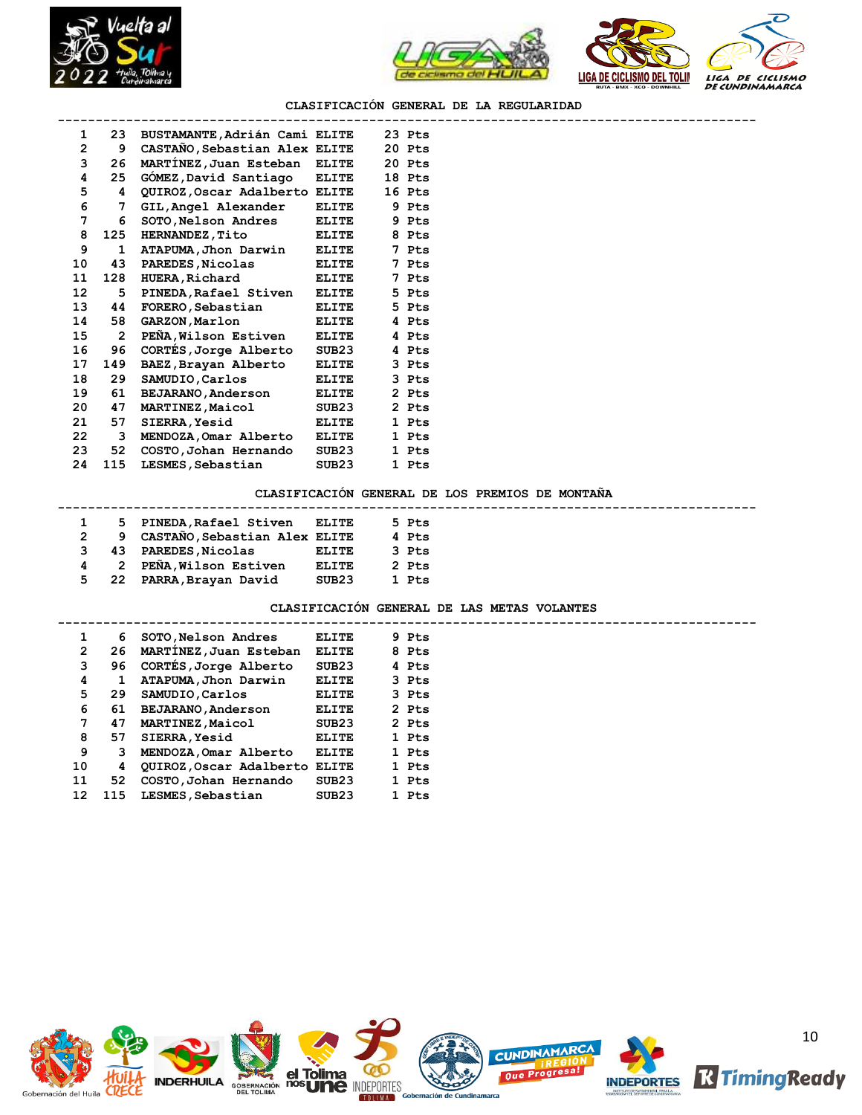



## **CLASIFICACIÓN GENERAL DE LA REGULARIDAD**

| 1               |                | 23 BUSTAMANTE, Adrián Cami ELITE |              | 23 Pts |  |
|-----------------|----------------|----------------------------------|--------------|--------|--|
| $\overline{2}$  | 9              | CASTAÑO, Sebastian Alex ELITE    |              | 20 Pts |  |
| 3               | 26             | MARTINEZ, Juan Esteban ELITE     |              | 20 Pts |  |
| 4               | 25             | GOMEZ, David Santiago            | <b>ELITE</b> | 18 Pts |  |
| 5               | 4              | QUIROZ, Oscar Adalberto ELITE    |              | 16 Pts |  |
| 6               | $7^{\circ}$    | GIL, Angel Alexander             | ELITE        | 9 Pts  |  |
| 7               | 6              | SOTO, Nelson Andres              | ELITE        | 9 Pts  |  |
| 8               | 125            | <b>HERNANDEZ, Tito</b>           | <b>ELITE</b> | 8 Pts  |  |
| 9               | 1              | ATAPUMA, Jhon Darwin             | <b>ELITE</b> | 7 Pts  |  |
| 10              | 43             | PAREDES, Nicolas                 | ELITE        | 7 Pts  |  |
| 11              | 128            | <b>HUERA, Richard</b>            | <b>ELITE</b> | 7 Pts  |  |
| 12 <sup>2</sup> | 5              | PINEDA, Rafael Stiven            | <b>ELITE</b> | 5 Pts  |  |
| 13              | 44             | FORERO, Sebastian                | <b>ELITE</b> | 5 Pts  |  |
| 14              | 58             | <b>GARZON, Marlon</b>            | <b>ELITE</b> | 4 Pts  |  |
| 15              | $\overline{2}$ | PEÑA, Wilson Estiven             | <b>ELITE</b> | 4 Pts  |  |
| 16              | 96             | CORTES, Jorge Alberto            | SUB23        | 4 Pts  |  |
| 17              | 149            | BAEZ, Brayan Alberto             | <b>ELITE</b> | 3 Pts  |  |
| 18              | 29             | SAMUDIO, Carlos                  | <b>ELITE</b> | 3 Pts  |  |
| 19              | 61             | <b>BEJARANO, Anderson</b>        | ELITE        | 2 Pts  |  |
| 20              | 47             | <b>MARTINEZ, Maicol</b>          | SUB23        | 2 Pts  |  |
| 21              | 57             | SIERRA, Yesid                    | <b>ELITE</b> | 1 Pts  |  |
| 22              | 3              | MENDOZA, Omar Alberto            | <b>ELITE</b> | 1 Pts  |  |
| 23              | 52             | COSTO, Johan Hernando            | SUB23        | 1 Pts  |  |
| 24              | 115            | LESMES, Sebastian                | SUB23        | 1 Pts  |  |
|                 |                |                                  |              |        |  |

## **CLASIFICACIÓN GENERAL DE LOS PREMIOS DE MONTAÑA**

|                |     | 5 PINEDA, Rafael Stiven ELITE   |                   | 5 Pts |
|----------------|-----|---------------------------------|-------------------|-------|
|                |     | 9 CASTAÑO, Sebastian Alex ELITE |                   | 4 Pts |
|                |     | 3 43 PAREDES, Nicolas           | ELITE             | 3 Pts |
| $\overline{4}$ |     | 2 PEÑA, Wilson Estiven          | <b>ELITE</b>      | 2 Pts |
| 5.             | -22 | PARRA, Brayan David             | SUB <sub>23</sub> | 1 Pts |

#### **CLASIFICACIÓN GENERAL DE LAS METAS VOLANTES**

|    | 1<br>6         | SOTO, Nelson Andres           | ELITE             | 9 Pts |  |
|----|----------------|-------------------------------|-------------------|-------|--|
|    | $\overline{2}$ | 26 MARTINEZ, Juan Esteban     | <b>ELITE</b>      | 8 Pts |  |
|    | 3<br>96.       | CORTES, Jorge Alberto         | SUB <sub>23</sub> | 4 Pts |  |
|    | 4<br>1         | ATAPUMA, Jhon Darwin          | <b>ELITE</b>      | 3 Pts |  |
|    | 5<br>29        | SAMUDIO, Carlos               | <b>ELITE</b>      | 3 Pts |  |
|    | 6<br>61        | BEJARANO, Anderson            | <b>ELITE</b>      | 2 Pts |  |
|    | 7<br>47        | <b>MARTINEZ, Maicol</b>       | SUB <sub>23</sub> | 2 Pts |  |
|    | 8<br>57        | SIERRA, Yesid                 | <b>ELITE</b>      | 1 Pts |  |
|    | 9<br>3         | MENDOZA, Omar Alberto         | ELITE             | 1 Pts |  |
| 10 | 4              | QUIROZ, Oscar Adalberto ELITE |                   | 1 Pts |  |
| 11 | 52             | COSTO, Johan Hernando         | SUB <sub>23</sub> | 1 Pts |  |
| 12 | 115            | LESMES, Sebastian             | SUB23             | 1 Pts |  |
|    |                |                               |                   |       |  |

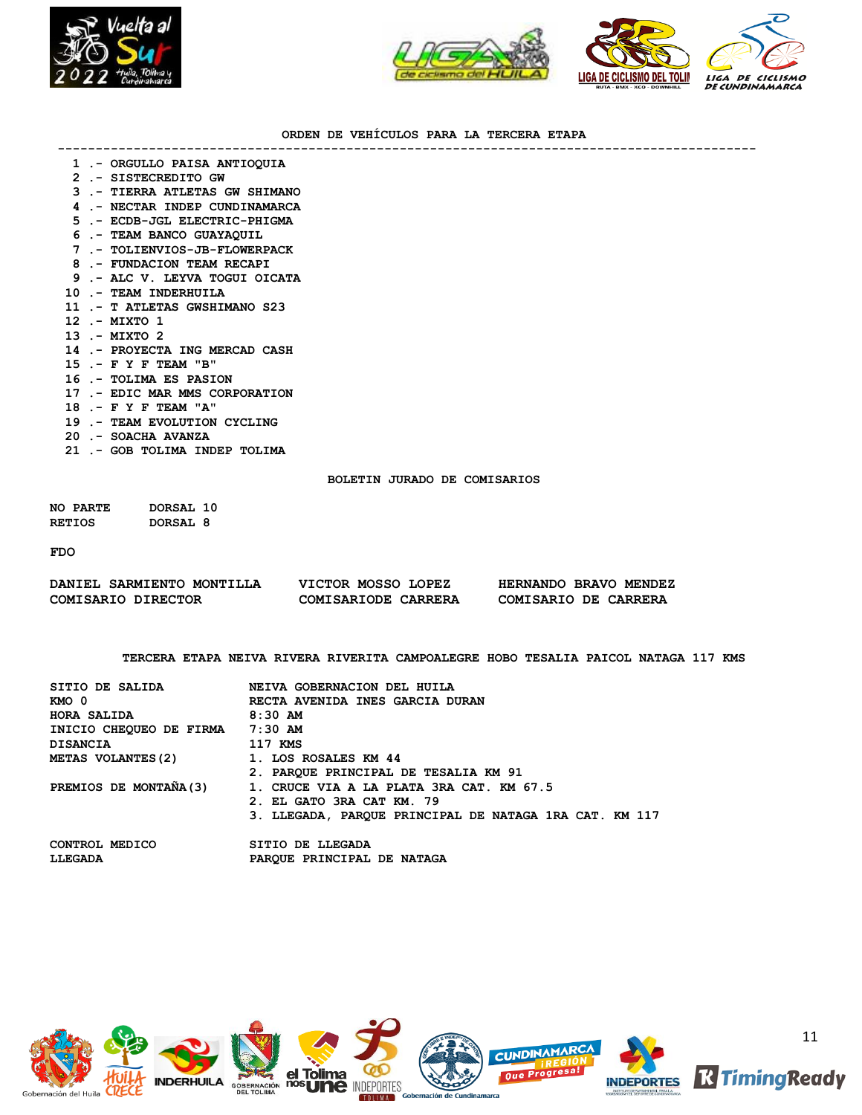



## **ORDEN DE VEHÍCULOS PARA LA TERCERA ETAPA**

**--------------------------------------------------------------------------------------------**

|  |  |  |  | . .- ORGULLO PAISA ANTIOQUIA |
|--|--|--|--|------------------------------|
|--|--|--|--|------------------------------|

- **2 .- SISTECREDITO GW**
- **3 .- TIERRA ATLETAS GW SHIMANO**
- **4 .- NECTAR INDEP CUNDINAMARCA**
- **5 .- ECDB-JGL ELECTRIC-PHIGMA**
- **6 .- TEAM BANCO GUAYAQUIL**
- **7 .- TOLIENVIOS-JB-FLOWERPACK**
- **8 .- FUNDACION TEAM RECAPI**
- **9 .- ALC V. LEYVA TOGUI OICATA**
- **10 .- TEAM INDERHUILA**
- **11 .- T ATLETAS GWSHIMANO S23**
- **12 .- MIXTO 1**
- **13 .- MIXTO 2**
- **14 .- PROYECTA ING MERCAD CASH**
- **15 .- F Y F TEAM "B"**
- **16 .- TOLIMA ES PASION**
- **17 .- EDIC MAR MMS CORPORATION**
- **18 .- F Y F TEAM "A"**
- **19 .- TEAM EVOLUTION CYCLING**
- **20 .- SOACHA AVANZA**
- **21 .- GOB TOLIMA INDEP TOLIMA**

## **BOLETIN JURADO DE COMISARIOS**

**NO PARTE DORSAL 10 RETIOS DORSAL 8**

**FDO**

| DANIEL SARMIENTO MONTILLA | VICTOR MOSSO LOPEZ  | HERNANDO BRAVO MENDEZ |
|---------------------------|---------------------|-----------------------|
| COMISARIO DIRECTOR        | COMISARIODE CARRERA | COMISARIO DE CARRERA  |

**TERCERA ETAPA NEIVA RIVERA RIVERITA CAMPOALEGRE HOBO TESALIA PAICOL NATAGA 117 KMS**

| SITIO DE SALIDA                 | NEIVA GOBERNACION DEL HUILA                            |
|---------------------------------|--------------------------------------------------------|
|                                 |                                                        |
| KMO 0                           | RECTA AVENIDA INES GARCIA DURAN                        |
| HORA SALIDA                     | 8:30 AM                                                |
| INICIO CHEOUEO DE FIRMA 7:30 AM |                                                        |
| <b>DISANCIA</b>                 | 117 KMS                                                |
| <b>METAS VOLANTES (2)</b>       | 1. LOS ROSALES KM 44                                   |
|                                 | 2. PAROUE PRINCIPAL DE TESALIA KM 91                   |
| PREMIOS DE MONTAÑA(3)           | 1. CRUCE VIA A LA PLATA 3RA CAT. KM 67.5               |
|                                 | 2. EL GATO 3RA CAT KM. 79                              |
|                                 | 3. LLEGADA, PARQUE PRINCIPAL DE NATAGA 1RA CAT. KM 117 |
| CONTROL MEDICO                  | SITIO DE LLEGADA                                       |
| LLEGADA                         | PAROUE PRINCIPAL DE NATAGA                             |
|                                 |                                                        |

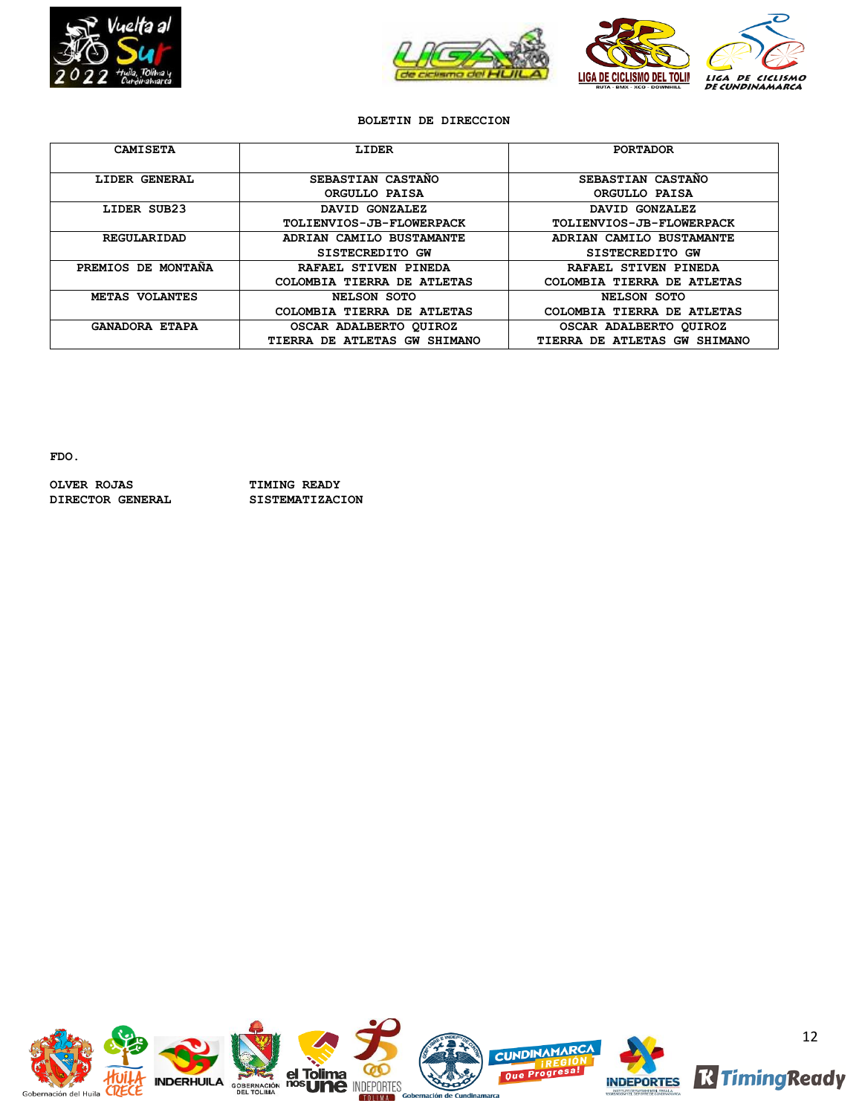



# **BOLETIN DE DIRECCION**

| <b>CAMISETA</b>       | LIDER                           | <b>PORTADOR</b>                 |
|-----------------------|---------------------------------|---------------------------------|
| LIDER GENERAL         | SEBASTIAN CASTANO               | SEBASTIAN CASTANO               |
|                       | ORGULLO PAISA                   | ORGULLO PAISA                   |
| LIDER SUB23           | DAVID GONZALEZ                  | DAVID GONZALEZ                  |
|                       | <b>TOLIENVIOS-JB-FLOWERPACK</b> | <b>TOLIENVIOS-JB-FLOWERPACK</b> |
| REGULARIDAD           | ADRIAN CAMILO BUSTAMANTE        | ADRIAN CAMILO BUSTAMANTE        |
|                       | SISTECREDITO GW                 | SISTECREDITO GW                 |
| PREMIOS DE MONTANA    | RAFAEL STIVEN PINEDA            | RAFAEL STIVEN PINEDA            |
|                       | COLOMBIA TIERRA DE ATLETAS      | COLOMBIA TIERRA DE ATLETAS      |
| METAS VOLANTES        | NELSON SOTO                     | NELSON SOTO                     |
|                       | COLOMBIA TIERRA DE ATLETAS      | COLOMBIA TIERRA DE ATLETAS      |
| <b>GANADORA ETAPA</b> | OSCAR ADALBERTO QUIROZ          | OSCAR ADALBERTO QUIROZ          |
|                       | TIERRA DE ATLETAS GW SHIMANO    | TIERRA DE ATLETAS GW SHIMANO    |

**FDO.**

**OLVER ROJAS TIMING READY DIRECTOR GENERAL SISTEMATIZACION**